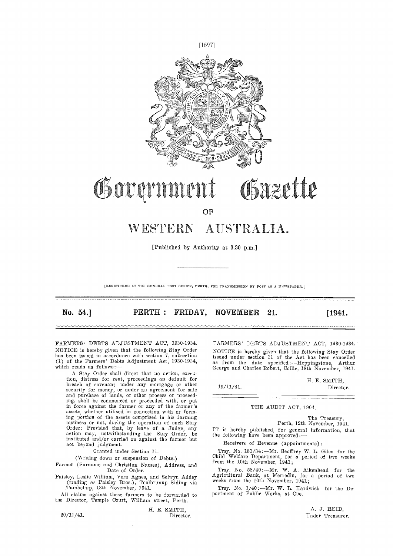

# Bazette Governme

**OF** 

# WESTERN AUSTRALIA.

[Published by Authority at 3.30 p.m.]

[REGISTERED AT THE GENERAL POST OFFICE, PERTH, FOR TRANSMISSION BY POST AS A NEWSPAPER.]

No. 54.] **PERTH: FRIDAY, NOVEMBER 21.** [1941.]

FARMERS' DEBTS ADJUSTMENT ACT, 1930-1934. NOTICE is hereby given that the following Stay Order has been issued in accordance with section 7, subsection (1) of the Farmers' Debts Adjustment Act, 1930-1934, which reads as follows;

A Stay Order shall direct that no action, execution, distress for rent, proceedings on default for<br>breach of covenant under any mortgage or other<br>security for money, or under an agreement for sale and purchase of lands, or other process or proceeding, shall be commenced or proceeded with, or put in force against the farmer or any of the farmer's nssets, whether utilised in connection with or forming portion of the assets comprised in his farming business or not, during the operation of such Stay<br>Order: Provided that, by leave of a Judge, any 1T is action may, notwithstanding the Stay Order, be instituted and/or carried on against the farmer but not beyond judgment.

Granted under Section 11.

(Writing down or suspension of Debts.)

Farmer (Surname and Christian Names), Address, and Date of Order.

Paisley, Leslie William, Vera Agnes, and Selwyn Addey Agric (trading as Paisley Bros.), Toolbrunup Siding via Tambellnp, 13th November, 1941.

All claims against these farmers to be forwarded to partm the Director, Temple Court, William street, Perth.

H. E. SMITH, 20/11/41. Director.

FARMERS' DEBTS ADJUSTMENT ACT, 1930-1934. NOTICE is hereby given that the following Stay Order issued under section 11 of the Act has been cancelled<br>as from the date specified:—Heppingstone, Arthur George and Charles Robert, Collie, 18th November, 1941.

H. E. SMITH, 19/11/41. Director.

#### THE AUDIT ACT, 1904.

The Treasury, Perth, 12th November, 1941.

IT is hereby published, for general information, that the following have been approved:-

Receivers of Revenue (appointments)

Trsy. No. 181/34:—Mr. Geoffrey W. L. Giles for the Child Welfare Department, for a period of two weeks from the 10th November, 1941;

Trsy. No. 58/40: - Mr. W. A. Aikenhead for the Agricultural Bank, at Merredin, for a period of two weeks from the 10th November, 1941;

Trsy. No. 1/40:- Mr. W. L. Hardwick for the Department of Public Works, at Cue.

> A. J. REID, Under Treasurer.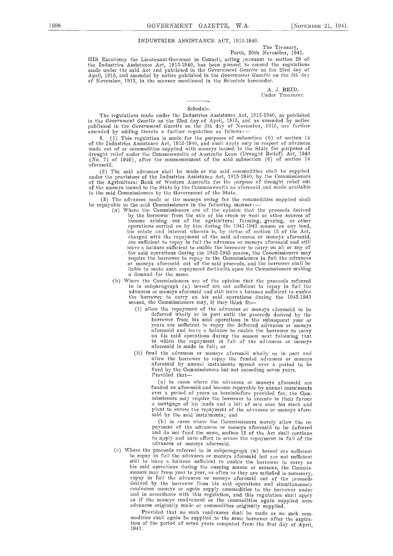# INDUSTRIES ASSISTANCE ACT, 1915-1940.

Perth, 20th November, 1941.

HIS Excellency the Lieutenant-Governor in Council, acting pursuant to section 29 of the Industries Assistance Act, 1915-1940, has been pleased to amend the regulations made under the said Act and published in the *Governme* 

A. J. REID,<br>Under Treasurer.

#### Schedule.

The regulations made under the Industries Assistance Act, 1915-1940, as published<br>in the *Government Gazette* on the 23rd day of April, 1915, and as amended by notice<br>published in the *Government Gazette* on the 5th day of

8. (1) This regulation is made for the purposes of subsection (6) of section 14 of the Industries Assistance Act, 1915-1940, and shall apply only in respect of advances made out of or commodities supplied with moneys loane (No. 71 of 1940), after the commencement of the said subsection (6) ot section 14 a foresaid.

The said advances shall be made or the said commodities shall be supplied under the provisions of the Industries Assistance Act, 1915-1940, by the Commissioners<br>of the Agricultural Bank of Western Australia for the purpose of drought relief out<br>of the moneys loaned to the State by the Commonweal to the said Conunissioners hr the Govcrmnent of the State.

(3) The advances made or the moneys owing for the commodities supplied shall be repayable to the said Commissioners in the following manner: (a) Where the Commissioners are of the opinion that the proceeds derived

- by the borrower from the sale of Ins crops or wool or other sources of income arising out of the agricultural farming, grazing, or other operations carried on by him during the 1941-1942 season on any land,<br>his estate and interest wherein is, by virtue of section 15 of the Act,<br>charged with the repayment of the said advances or moneys aforesaid,<br>are suffici leave a balance sufficient to enable the borrower to carry on all or any of the said operations during the 1942-1943 season, the Commissioners may require the borrower to repay to the Commissioners in full the advances or moneys aforesaid out of the said proceeds, and the borrower shall be liable to make such repayment forthwith upon the Commissioners making a demand for the same.
- (b) Where the Commissioners are of the opinion that the proceeds referred to in subparagraph (a) hereof are not sufficient to repay in full the advances or moneys aforesaid and still leave a balance sufficient to enable the borrower to carry on Ins said operations during the 1942-1943 seasou, the Commissioners may, if they think fit-
	- (i) allow the repayment of the advances or moneys aforesaid to be deferred wholly or in part until the proceeds derived by the borrower from his said operations in the subsequent year or years are sufficient to repay the
	- fund the advances or moneys aforesaid wholly or in part and allow the borrower to repay the funded advances or moneys<br>aforesaid by annual instalments spread over a period to be fixed by the Commissioners but not exceeding seven years.<br>Provided that—

(a) in eases where the advances or moneys aforesaid are funded as aforesaid and become repayable by annual instalments over a period of years as hereinbefore provided for, the Commissioners may require the borrower to execute in their favour a mortgage of his lands and a bill of sale over his stock and plant to secure the repayment of the advances or moneys afore-<br>said by the said instalments; and<br>(b) in cases where the Commissioners merely allow the re-

(b) in cases where the Commissioners merely allow the re-<br>payment of the advances or moneys aforesaid to be deferred and do not fund the same, section 15 of the Act shall continue to apply and have effect to secure the repayment in frill of the advances or moneys aforesaid.

(c) Where the proceeds referred to in subparagraph (a) hereof are sufficient to repay iii full the advances or moneys aforesaid but are not sufficient still to leave a balance sufficient to enable the borrower to carry on his said operations during the ensuing season or seasons, the Commissioners may from year to year, as often as they are satisfied is necessary, repay in full the advances or moneys aforesaid out of the proceeds derived by the borrower from his said operations and simultaneously readvance moneys or again supply commodities to the borrower under and in accordance with this regulation, and this regulation shall apply as if the moneys readvaneed or the commodities again supplied were advances originally made or commodities originally supplied.

Provided that no such readvances shall be made or no such commodities shall again be supplied to the same borrower after the expiration of the period of seven years computed from the first day of April, 1941.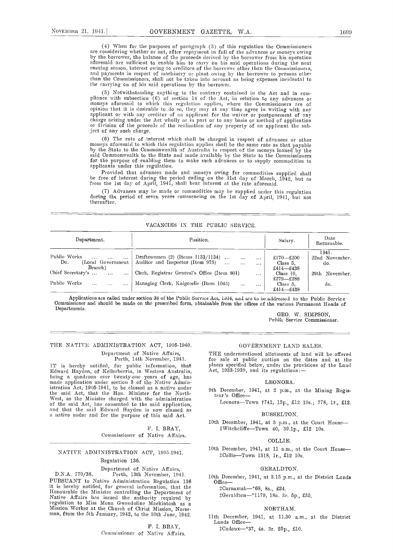$(4)$  When for the purposes of paragraph  $(3)$  of this regulation the Commissioners are considering whether or not, after repayment in full of the advances or moneys owing by the borrower, the balance of the proceeds deri ensuing season, interest owing to creditors of the borrower other than the Commissioners, and payments in respect of machinery or plant owing by the borrower to persons other than the Conunissioners, shall not be taken into account as being expenses incidental to the carrying on of his said operations by the borrower.

(5) Notwithstanding anything to the contrary contained in the Act and in compliance with subsection (6) of section 14 of the Act, in relation to any advances or moneys aforesaid to which this regulation applies, where the applicant or with any creditor of an applicant for the waiver or postponement of any charge arising under the Act wholly or in part or to any basis or method of application or division of the proceeds of the realisation of any property of an applicant the subject of any such charge.

(6) The rate of interest which shall be charged in respect of advances or other moneys aforesaid to which this regulation applies shall be the same rate as that payable by the State to the Commonwealth of Australia in resp said Commonwealth to the State and made available by the State to the Commissioners for the purpose of enabling them to make such advances or to supply commodities to applicants under this regulation.

Provided that advances made and moneys owing for commodities supplied shall he free of interest during the period ending on the 31st day of March, 1942, but as from the 1st day of April, 1941, shall bear interest at the rate aforesaid.

Advances may be made or commodities may he supplied under this regulation during thi period of seven years commencing on the 1st day of April, 1941, but not thereafter.

# VACANCIES IN THE PUBLIC SERVICE.

| Department.                                                                  | Position.                                                                                                                                 | Salary.                            | Date<br>Returnable.            |
|------------------------------------------------------------------------------|-------------------------------------------------------------------------------------------------------------------------------------------|------------------------------------|--------------------------------|
| Public Works<br>$\cdots$<br>$\cdots$<br>Do.<br>(Local Government)<br>Branch) | Draftswomen $(2)$ (Items $1133/1134$ )<br>$\ddotsc$<br>$\cdots$<br>Auditor and Inspector (Item 975)<br>$\dddotsc$<br>$\cdots$<br>$\cdots$ | £170–£200<br>Class 5.<br>£414—£438 | 1941.<br>22nd November.<br>do. |
| Chief Secretary's<br>$\cdots$<br>$\cdots$                                    | Clerk, Registrar General's Office (Item 801)<br>$\cdots$                                                                                  | Class 10.<br>£279—£288             | 29th November.                 |
| Public Works<br>$\cdots$<br>$\cdots$                                         | Managing Clerk, Kalgoorlie (Item 1045)<br>$\cdots$<br>$\cdots$                                                                            | Class 5.<br>£414 $-$ £438          | do.                            |

Applications are called under section 38 of the Public Service Act, 1904, and are to be addressed to the Public Service Commissioner and should be made on the prescribed form, obtainable from the offices of the various Per Departments.

GEO. W. SIMPSON, Public Service Commissioner.

#### THE NATIVE ADMINISTRATION ACT, 1905-1940.

Department of Native Affairs, Perth, 14th November, 1941.

IT is hereby notified, for public information, that Edw'ard Hayden, of Kellerberrin, in Western Australia, being a quadroon over twenty-one years of age, has made application under section 3 of the Native Administration Act, 1905-1941, to be classed as a native under<br>the said Act, that the Hon. Minister for the Norththe said Act, that the Hon. Minister for the North-<br>West, as the Minister charged with the administration<br>of the said Act, has consented to the said application, and that the said Edward Hayden is now classed as<br>a native u

> F. I. BRAY, Commissioner of Native Affairs.

# NATIVE ADMINISTRATION ACT, 1905-1941.

# Regulation 136.

Department of Native Affairs, D.N.A. 170/38. Perth, 13th November, 194]. PURSUANT to Native Administration Regulation 136 it is hereby notified, for general information, that the Honourable the Minister controlling the Department of regulation to Miss Monate Controlline Mackintosh as a regulation to Miss Mona Gwendoline Mackintosh as a metal of Church of Church Mission, Norseman, from the 5th January, 1942, to the 30th June, 1942.

> F. I. BRAY, Commissioner of Native Affairs.

# GOVERNMENT LAND SALES.

THE undermentioned allotments of land will be offered for sale at public auction on the dates and at the places specified below, under the provisions of the Land

#### LEONORA.

- 9th December, 1941, at 2 p.m., at the Mining Regis-
	- Leonora-Town 7741, 15p., £12 10s.; 778, 1r., £12.

#### BUSSELTON.

10th December, 1941, at 3 p.m., at the Court House-:Witchcliffe-Town 40, 39.1p.,  $£12$  10s.

#### **COLLIE**

10th December, 1941, at 11 a.m., at the Court House-#Collie-Town 1318, 1r., £12 10s.

#### GERALDTON.

10th December, 1941, at 3.15 p.m., at the District Lands

:Carnamah\_\*68, 8a., £24. #Geraldton-\*1179, 18a. 3r. 5p., £35.

# NORTHAM.

11th December, 1941, at 11.30 a.m., at the District Lands Office-

#Cadoux-\*37, 4a. 3r. 25p., £10.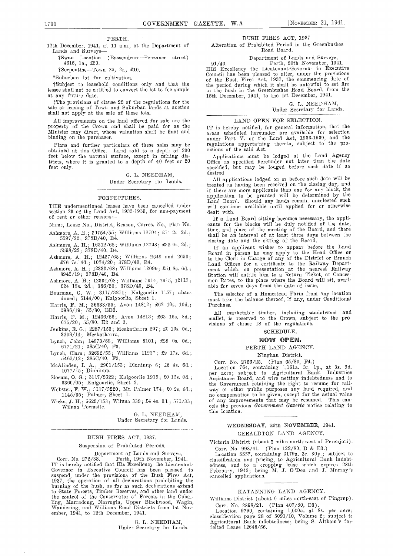## PERTH.

12th December, 1941, at 11 am., at the Department of Lands and Surveys-

(Bassendean-Penzance street)  $$$ <sup>1</sup>Swan Location<br>4615, 1a., £20.

lSerpeatiae-Town 25, 2r., £10.

"Suburban lot for cultivation.

tSubject to leasehold conditions only and that the lessee shall not be entitled to convert the lot to fee simple at any future date.

TIie provisions of clause 22 of the regulations for the sale or leasing of Town and Suburban lands at auction shall not apply at the sale of these lots.

All improvements on the land offered for sale are the property of the Crown and shall be paid for as the Minister may direct, whose valuation shall be final and areas scheduled hereunder are available for selection binding on the purchaser.

Plans and further particulars of these sales may be regularized at this Office. Land sold to a depth of 200 visio feet below the natural surface, except in mining districts, where it is granted to a depth of 40 feet or 20 Office feet only.

# G. L. NEEDHAM, Under Secretary for Lands.

#### FORFEITURES.

section 23 of the Land Act, 1933-1939, for non-payment of rent or other reasons:-

Name, Lease No., District, Reason, Corres. No., Plan No.

Ashmore, A. H.; 39754/50; Wihlinme 12794; £14 2s. 20.;  $5597/22\,;\ \ 378\mathrm{D}/40,\ \mathrm{B}4.$ 

Ashmore, A. H.; 16312/68; Williams 12793; £35 0s. 2d.; 5598/22; 378D/40, B4.

Ashmore, A. H.; 12457/68; Williams 2649 and 2650; £76  $\sqrt{7}$ s. 4d.; 1074/20; 378D/40, B4.

Ashmore, A. H.; 12333/68; Williams 12099; £51.8s. 6d.; 8945/19; 378D/40, B4.

Ashmnore, A. H.; 12334/68; Williams 7914, 7915, 12117; £24 15s. 20.; 386/20; 378D/40, B4.

Bourman, G. W.; 3117/3271; Kalgoorlie 1157; aban- doned; 5144/00; Kaigoorhie, Sheet 1.

Harris, F. M.; 36633/55; Avon 14812; £62 10s. 10d.;<br>5986/19; 55/80, ED3.

Harris, F. M.; 12436/56; Avon 14813; £63 16s. 8d.; 675/20; 55/80, E2 and 3.

Tenkins, R. G.; 2287/153; Meekatharra 297; £0 16s. 0d.; 3208/14; Meekatbarra.

Lynch, John; 14873/68; Williams 8101; £28 0s. 0d.;  $6771/21$ ;  $385 \text{C}/40$ ,  $\text{F3}$ .

Lynch, Clara; 32692/55; Williams 11237 ; £9 17s. Gd.;  $5462/12$ ;  $385C/40$ ,  $F3$ .

McAlinden, I. A.; 2901/153; Dinninup 6; £6 4s. Gd.; 1077/15 ; Dinninup.

Slocnm, 0. G.; 3117/2622; Kalgoorhie 1919; £0 15s. 00.; 6360/05; Kalgoorlie, Sheet 2.

Webster, F. W.; 3117/3220; Mt. Palmer 174; £0 2s. 6d.; 1145/35; Palmer, Sheet 1.

Wicks, J. H.; 6629/153; Wiluna 339; £4 4s. 00.; 071/33; Wiluna Towrnsite.

> G. L. NEEDHAM, Under Secretary for Lands.

### BUSH FIRES ACT, 1937.

Suspension of Prohibited Periods.

Department of Lands and Surveys, Corr. No. 272/38. Perth, 19th November, 1941. IT is hereby notified that His Excellency the Lieutenant- Good Governor in Executive Council has been pleased to Fel suspend, under the provisions of the Bush Fires Act,<br>1937, the operation of all declarations prohibiting the<br>burning of the bush, as far as such declarations extend to State Forests, Timber Reserves, and other land under the control of the Conservator of Forests in the Cuballing, Marradong, Narrogin, Upper Blacliwood, Wagin, Wandering, and Williams Road Distriets from 1st Nov- ember, 1941, to 12th December, 1941.

G. L. NEEDHAM, under Secretary for Lands.

#### BUSH FIRES ACT, 1937.

Alteration of Prohibited Period in the Greenbushes Road Board.

Department of Lands and Surveys,<br>
91/40. Perth, 20th November, 1941. HIS Excellency the Lieutenant covernor in Executive Council has been pleased to alter, under the provisions of the Bush Fires Act, 1937, the commencing date of the period during which it shall be unlawful to set fire to the bush in the Greenbushes Road Board, from the 15th December, 1941, to the 1st December, 1941.

0. L. NEEDHAM, Under Secretary for Lands.

#### LAND OPEN FOR SELECTION.

IT is hereby notified, for general information, that the under Part V. of the Land Act, 1933-1939, and the regulations appertaining thereto, subject to the pro-

visions of the said Act. (a) and said the Land Agency Applications must be lodged at the Land Agency Office as specified hereunder not later than the date specified, but may be lodged before such date if so desired.

THE undermentioned leases have been cancelled under will continue available until applied for or otherwise All applications lodged on or before such date will be treated as having been received on the closing day, and if there are more applicants than one for any block, the application to be granted will be determined by the Land Board. Should any lands remain unselected such will continue available until applied for or otherwise dealt with.

If a Land Beard sitting becomes necessary, the appli- cants for the blocks will be duly notified of the date, time, and place of the meeting of the Board, and there shall be an interval of at least three days between the

closing date and the sitting of the Board.<br>If an applicant wishes to appear before the Land If an applicant wishes to appear before the Land Board in person he may apply to the Head Office or to the Clerk in Charge of any of the District or Branch Land Offices for a certificate to the Railway Depart-<br>ment which, on presentation at the nearest Railway<br>Station will entitle him to a Return Ticket, at Concession Rates, to the place where the Board will sit, avail- able for seven days from the date of issue.

The selector of a Homestead Farm from any location must take the balance thereof, if any, under Conditional Purchase.

All marketable timber, including sandalwood and<br>mallet, is reserved to the Crown, subject to the provisions of clause 18 of the regulations.

SCHEDULE.

#### NOW OPEN.

PERTH LAND AGENCY.

Ninghan District.

Corr. No. 2756/25. (Plan 65/80, P4.) Location 764, containing 1,161a. 3r. ip., at 3s. 90. per acre; subject to Agricultural Bank, Industries Assistance Board, and wire netting indebtedness and to the Government retaining the right to resume for rail- way or other public purposes any land required, and no compensation to be given, except for the actual value of any improvements that may be resumed. This cancels the previous Government Gazette notice relating to this location.

# WEDNESDAY, 26th NOVEMBER, 1941. GERALDTON LAND AGENCY.

Victoria District (about 5 miles north-west of Perenjori). Corr. No. 998/41. (Plan 122/80, D & E3.)

Location 5557, containing 3179a. 3r. 30p.; subject to classification and pricing, to Agricultural Bank indebt-<br>edness, and to a cropping lease which expires 28th<br>February, 1942; being M. J. O'Dea and J. Murray's cancelled applications.

#### KATANNING LAND AGENCY.

Williams District (about 6 miles north-east of Pingrup)

Corr. No. 2898/21. (Plan 407/80, D3). Location 9790, containing 1,000a. at 8s. per acre; classification page 28 of 5091/10, Volume 2; subject tc Agricultural Bank indebtedness; being S. Altham 's for feited Lease 12648/56.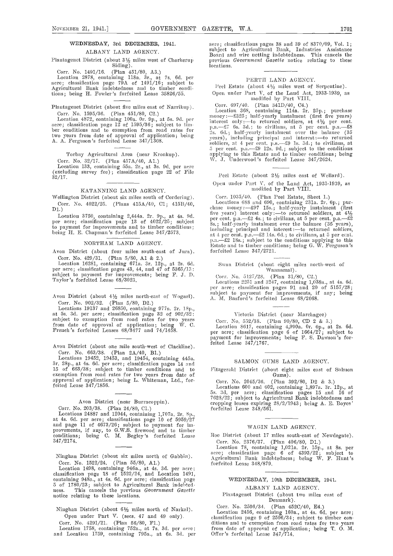#### ALBANY LAND AGENCY.

l'laiitagcnct District (about 31/2 miles west of Cliorkerup Siding).

Corr. No. 1491/16. (Plan 451/80, A3.)<br>Location 2878, containing 118a. 3r., at 7s. 6d. per acre; classification page 79A of 1491/16; subject to Agricultural Bank indebtedness and to timber conditions; being H. Fowler 's forfeited Lease 35826/55.

Plantagenet District (about five miles east of Narrikup). Core. No. 1595/36. (Plan 451/80, C2.)

Location 4872, containing 100a. Or. 9p., at 5s. 9d. per acre; classification page 12 of 1595/36; subject to tim-<br>ber conditions and to exemption from road rates for  $P_2$ two years from date of approval of application; being as over the A. A. Ferguson's forfeited Lease 347/1308.

Torbay Agricultural Area (near Kronkup).

Corr. No. 32/17. (Plan 457A/40, A1.)<br>Location 133, containing 55a. 2r., at 3s. 9d. per acre (excluding survey fee) ; classification page 22 of File 3 2/17.

### KATANNING LAND AGENCY.

Wellington District (about six miles south of Cordering). Corr. No. 4022/25. (Plans 415A/40, Cl; 415B/40, Di.)

Location 3750, containing 2,444a. 2r. 9p., at 4s. 9d. per acre; classification page 13 of 4022/25; subject

#### NORTHAM LAND AGENCY.

Avon District (about four miles south-east of Jura).

Corr. No. 429/31. (Plan 5/80, A1 & 2.)<br>Location 16281, containing 671a. 3r. 12p., at 2s. 6d.<br>per acre; classification pages 43, 44, and 47 of 5365/13;<br>subject to payment for improvements; being F. J. D.<br>Taylor's forfeited

Avon District (about  $4\frac{1}{2}$  miles north-east of Wogarl). Corr. No. 902/32. (Plan 5/80, D2.)

Locations 19137 and 26850, containing 977a. 2r. 18p., at 5s. 3d. per acre; classification page 32 of 902/32;<br>subject to exemption from road rates for two years from date of approval of application; being W. C. French 's forfeited Leases 68/3477 and 74/1458.

Avon District (about one mile south-west of Clackline).

Corr. No. 663/38. (Plan 2A/40, B1.)<br>Locations 19452, 19453, and 19454, containing 445a.<br>3r. 28p., at 4s. 6d. per acre; classification pages 14 and <sup>15</sup> of 063/38; subject to timber conditions and to exemption from road rates for two years from date of approval of application; being L. Whiteman, Ltd., forfeited Lease 347/1856.

# Avon District (near Burracoppin).

Corr. No. 203/38. (Plan 24/80, Cl.)<br>Locations 24887 and 12044, containing 1,707a. 2r. 8p. Locations 24887 and 12044, containing 1,707a. 2r. 8p., at 4s. 60. per acre; classifications page 10 of 5959/27 and page 11 of 4673/26; subject to payment for im-<br>provements, if any, to G.W.S. firewood and to timber<br>conditions; being C. M. Begley's forfeited Lease Ro 347/2174.

Ninglian District (nbout six miles north of Gabbin). Corr. No. 1522/24. (Plan 55/80, Al.)

Location 1498, containing 946a., at 4s. 3d. per acre; classification page 18 of 1522/24, and Location 1491, containing 948a., at 4s. 6d. per acre; classification page 5 of 1780/23; subject to Agricultural Bank indebtedhess. This cancels the previous Government Gazette notice relating to these locations.

Ninghan District (about 6½ miles north of Narkal). Open under Part V. (sees. 47 and 49 only).

Corr. No. 4291/21. (Plan 56/80, F1.)<br>Location 1758, containing 752a., at 7s. 3d. per acre;<br>and Location 1759, containing 795a., at 6s. 3d. per

acre; classifications pages 38 and 39 of 8370/09, Vol. 1; subject to Agrienitumal Bank, Indnstries Assistance Board and wire netting indebtedness. This cancels the previous Government Gazette notice relating to these locations.

#### PERTH LAND AGENCY.

Peel Estate (about  $4\frac{1}{2}$  miles west of Serpentine). Open under Part V. of the Land Act, 1933-1939, as modified by Part VIII.

Corr. 697/40. (Plan 341D/40, C4.)<br>Location 368, containing 114a. 2r. 25p.; purchase<br>money:—£325; half-yearly instalment (first five years) interest only :—to returned soldiers, at  $4\frac{1}{2}$  per cent.<br>p.a.— $\pounds 7$  6s. 3d.; to civilians, at 5 per cent. p.a.— $\pounds 8$ 2s. 6d.; half-yearly instalment over the balance (35 years), including principal and interest :- to returned soldiers, at 4 per cent. p.a.—£9 1s. 3d.; to civilians, at 5 per cent. p.a.—£9 12s. 9d.; subject to the conditions applying to this Estate and to timber conditions; being W. J. Underwood's forfeited Lease 347/2624.

Peel Estate (about  $2\frac{1}{2}$  miles east of Wellard).

Open under Part V. of the Land Act, 1933-1939, as modified by Part VIII.

Location 3750, containing 2,444a. 2r. 9p., at 4s. 9d.<br>
per acre; classification page 13 of 4022/25; subject  $\begin{array}{c} \text{per cent. p.a.} \rightarrow 22 \text{ 4s.}; \text{to civilians, at 5 per cent. p.a.} \rightarrow 22 \text{ 4s.}; \text{to civilians, at 5 per cent. p.a.} \rightarrow 22 \text{ 4s.}; \text{to civilians, at 5 per cent. p.a.$ Corr. 1035/40. (Plan Peel Estate, Sheet 1.) Locations 688 and 690, containing 231a. 2r. Op.; pur-<br>chase money: --£97 15s.; half-yearly instalnent (first five years) interest only :---to returned soldiers, at  $4\frac{1}{2}$ per cent. p.a.—£2 4s.; to civilians, at 5 per cent. p.a.—£2<br>Ss.; half-yearly instalment over the balance (35 years),<br>including principal and interest:—to returned soldiers,<br>at 4 per cent. p.a.—£2 14s. 6d.; to civilians, a forfeited Lease 347/2721.

Swan District (about eight miles north-west of Wannamal).

Corr. No. 5127/28. (Plan 31/80, C2.)

Locations 2251 and 3247, containing 1,038a., at 4s. 6d.<br>per acre; classification pages 91 and 20 of 5157/28;<br>subject to payment for improvements, if any; being<br>A. M. Basford's forfeited Lease 68/2068.

# Victoria District (near Marchagee)<br>Corr. No. 552/38. (Plan 90/80, CD 2 & 3.)

Corr. No. 552/38. (Plan 90/80, CD 2 & 3.)<br>Location 8617, containing 4,990a. Or. 6p., at 2s. 6d.<br>per acre; classification page 6 of 1664/27; subject to payment for improvements; being F. S. Dawson's forfeited Lease 347/1767.

# SALMON GUMS LAND AGENCY.

Fitzgerald District (about eight miles east of Salmon Gums).

Corr. No. 2045/36. (Plan 392/80, D2 & 3.) Locations 600 and 602, containing 1,897a. 3r. 12p., at 5s. 3d. per acre; classification pages 15 and 16 of 7628/22; subject to Agricultural Bank indebtedness and cropping leases expiring 28/2/1943; being A. E. Boyes forfeited Lease 348/561.

## WAGIN LAND AGENCY.

Roe District (about 17 miles south-east of Newdegate).

Corr. No. 2376/37. (Plan 406/80, D1.)<br>Location 78, containing 1,021a. 2r. 15p., at 8s. per acre; classification page <sup>6</sup> of 4393/22; subject to Agricultural Banlc indebtedness; being W. F. Hunt's forfeited Lease 348/879,

## WEDNESDAY, 10th DECEMBER, 1941.

ALBANY LAND AGENCY.

Plantagenet District (about two miles east of Denmark).

Corr. No. 2506/34. (Plan 452C/40, E4.)

Location 2456, containing 160a., at 4s. 6d. per acre; classification page 9 of 2506/34; subject to timber conditions and to exemption from road rates for two years from date of approval of application; being T. 0. M. Offer's forfeited Lease 347/714.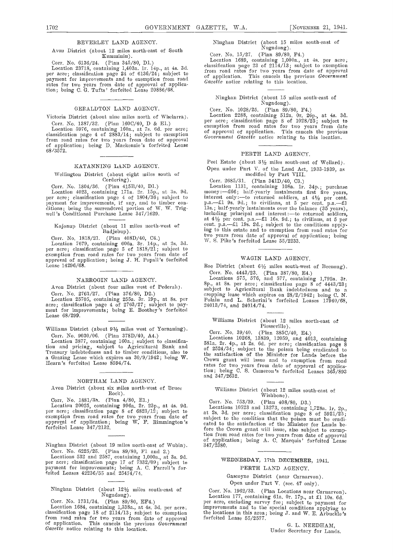#### BEVERLEY LAND AGENCY.

#### Avon District (about 12 miles north-east of South<br>
Kumminin). Corr. No. 15/27. (Plan 89/80, F4.) Kumminin)

Corr. No. 6136/24. (Plan 345/80, Dl.) Location 23718, containing 1,403a. lr. l4p., at 4s. 3d. per acre; classification page 24 of 6136/24; subject to payment for improvements and to exemption from road of approval of applica-<br>rates for two years from date of approval of application; being C. G. Tufts' forfeited Lease 20886/68.

#### GERALDTON LAND AGENCY.

Victoria District (about nine miles north of Whelarra). Corr. No. 1387/32. (Plan 1600/40, D & El.)

Location 5976, containing 160a., at 7s. 6d. per acre; classification page 4 of 2883/14; subject to exemption  $\frac{G}{G}$ from road rates for two years from date of approval <sup>Gove</sup><br>of application; being D. Mackenzie's forfeited Lease<br>68/3572.

#### KATANNING LAND AGENCY.

# Wellington District (about eight miles south of Cordering).

Corr. No. 1804/36. (Plan 415B/40, D1.) Lo<br>
Location 4023, containing 171a. 2r. 15p., at 3s. 9d. per acre; classification page 4 of 1804/36; subject to intere payment for improvements, if any, and to timber con- (litiOus; being the surrendered portion of W. W. Trig- well 's Conditional Purchase Lease 347/1629.

# Kojonup District (about 11 miles north-west of Badjebup).

Corr. No. ]818/21. (Plan 408D/40, C4.) Location 1679, containing 606a. 3r. 14p., at 2s. 3d. per acre; classification page 5 of 1818/21; subject to exemption from road rates for two years from date of approval of application; being J. Fl. Pepall 's forfeited Lease 14296/68.

#### NARROGIN LAND AGENCY.

Avon District (about four miles west of Pederah).

Lease 68/299.

Williams District (about  $9\frac{1}{2}$  miles west of Yornaning). Corr. No. 9030/06. (Plan 378D/40, A4.)

Location 3877, containing 160a.; subject to classifica-<br>tion and pricing, subject to Agricultural Bank and of 2<sup>2</sup><br>Treasury indebtedness and to timber conditions, also to the s Treasury indebtedness and to timber conditions, also to a Grazing Lease which expires on 30/9/1942; being W. Hearn's forfeited Lease 8594/74.

# NORTHAM LAND AGENCY.

Avon District (about six miles north-west of Bruce Rock).

Corr. No. i.88i/3. (Plan 4/80, El.) Location 20025, containing 996a. 2r. 23p., at 4s. 96. per acre; classification page 8 of 6823/12; subject to exemption from road rates for two years from date of and in the rate. forfeited Lease 347/2132.

Ninghan District (about 19 miles north-cast of Wubin). Corr. No. 6225/25. (Plan 89/80, Fl and 2.)

Locations 532 and 2587, containing 1,000a., at 3s. 9d. per acre; classification page 17 of 7332/09; subject to payment for improvements; being A. C. Farrell's for-feited Leases 42236/55 and 25474/74.

Ninglian District (about 12½ miles south-east of Nugadong).

Corr. No. 1731/34. (Plan 89/80, EF4.)

Location 1684, containing 1,338a., at 4s. 3d. per acre; impre-<br>classification page 18 of 2114/13; subject to exemption the lo from road rates for two years from date of approval<br>of application. This cancels the previous Government<br>Gazette notice relating to this location.

Ninghan District (about. 15 miles south-east of Nugadong).

Corr. No. 15/27. (Plan 89/80, P4.) Location 16S9, containing 1,000a., at 4s. per acre, classification page 23 of 2114/13; subject to exemption from road rates for two years from date of approval of application. This cancels the previous Government Gazette notice relating to this location.

# Ninghan District (about 15 miles south-east of Nugadong).

Corr. No. 1028/25. (Plan 89/80, F4.) Location 2288, containing 512a. Or. 25p., at 4s. 3d. per acre; classification page 8 of 1028/25; subject to exemption from road rates for two years from date of approval of application. This cancels the previous Government Gazette notice relating to this location.

#### PERTH LAND AGENCY.

Peel Estate (about 3½ miles south-east of Wellard). Open under Part V. of the Land Act, 1933-1939, as modified by Part VIII.

Corr. 2685/31. (Plan 341D/40, C3.)<br>Location 1131, containing 108a. 1r. 34p.; purchase<br>money:—£66; half-yearly instalments first five years,<br>interest only:—to returned soldiers, at  $4\frac{1}{2}$  per cent.<br>p.a.—£1 9s. 9d.; to 13s.; half-yearly instalments over the balance (35 years), including principal and interest:—to returned soldiers, at  $4/4_2$  per cent. p.a.—£1 16s. 9d.; to civilians, at 5 per cent. p.a.—61 19s. 2d. subject to the condit two years from date of approval of application; being  $\rm W.$  S. Pike's forfeited Lease 55/2233.

#### WAGIN LAND AGENCY.

Roe District (about  $6\frac{1}{2}$  miles south-west of Beenong).

Corr. No. 2763/27. (Plan 376/80, D2.) subject to Agricultural Bank indebtedness and to a<br>Location 25705, containing 255a. 3r. 19p., at Ss. per polain and L. Scherini's forfeited Leases 17940/68,<br>are ; classification page 4 Corr. No. 4443/23. (Plan 387/80, E4.)<br>Locations 575, 576, and 577, containing 1,792a. 3r.<br>8p., at 8s. per acre; classification page 8 of 4443/23;<br>subject to Agricultural Bank indebtedness and to a<br>cropping lease which exp

Williams District (about 12 miles north-east of Piesseville).

Corr. No. 39/40. (Plan 385C/40, E4.)<br>Locations 10268, 13839, 12059, and 4013, containing<br>581a. 2r. 4p., at 2s. 6d. per acre; classification page 8<br>of 2524/34; subject to the poison being eradicated to<br>the satisfaction of the satisfaction of the Minister for Lands before the Crown grant will issue and to exemption from road rates for two years from date of approval of application; being C. S. Cameron's forfeited Leases 365/893<br>and 347/2632.

#### Williams District (about 12 miles south-cast of Wishbone).

Corr. No.  $753/39$ . (Plan 408/80, D3.)<br>Locations 10523 and 13273, containing 1,728a. 1r. 2p.,<br>at 2s. 3d. per acre; classification page 8 of 5921/25;<br>subject to the condition that the poison must be eradi-<br>cated to the sat fore the Crown grant will issue, also subject to exemption from road rates for two years from date of approval of application; being A. C. Marquis' forfeited Lease 347/2380.

# WEDNESDAY, 17th DECEMBER, 1941. PERTH LAND AGENCY.

Gascoyne District (near Carnarvon). Open under Part V. (sec. 47 only).

Corr. No. 1962/33. (Plan Locations near Carnarvon).<br>Location 177, containing 61a. 0r. 17p., at £1 10s. 6d. per acre, excluding survey fee; subject to payment for improvements and to the special conditions applying to the locations in this area; being J. and W. B. Arbuckle 'a forfeited Lease 55/2577.

> G. L. NEEDHAM, Under Secretary for Lands.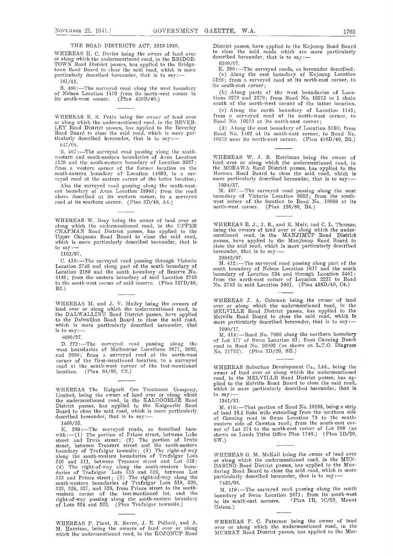#### THE ROAD DISTRICTS ACT, 1919-1939.

WHEREAS H. C. Davies being the owner of land over<br>or along which the undermentioned road, in the BRIDGE-<br>TOWN Road District passes, has applied to the Bridge-<br>town Road Board to close the said road, which is more particularly described hereunder, that is to say:-

161/41.

B. 466:-The surveyed road along the west boundary of Nelson Location 1470 from its north-west corner to  $($   $)$ its south-west corner. (Plan 439B/40.)

WHEREAS R. S. Potts being the owner of land over or along which the undermentioned road, in the BEVER-LEY Road District passes, has applied to the Beverley Road Board to close the said road, which is more particularly described hereunder, that is to say:-

047/OS.

B. 467 :-The surveyed road passing along the south-<br>western and south-eastern boundaries of Avon Location 3129 and the south-eastern boundary of Location 3927; front a western corner of the former location on the south-eastern boundary of Location 14890, to a sur- Mor<br>veyed road at the eastern corner of the latter location; more

Also the surveyed road passing along the south-west- 193<br>ern boundary of Avon Location 18983; from the road M. above described at its western corner, to a surveyed boun road at its southern corner. (Plan 3D/40, A4.)

WHEREAS W. Bray being the owner of land over or<br>along which the undermentioned road, in the UPPER WHERE<br>CHAPMAN Road District passes, has applied to the being the Upper Chapman Road Board to close the said road, which is more particularly described hereunder, that is to say:-

1161/97.

416:—The surveyed road passing through Victoria  $\mu$ <sup>19942/07</sup>.<br>
Location 2745 and along part of the south boundary of Location 2745 and through Location 2189 and the south boundary of Reserve No.<br>
4149; from the eastern to the south-west corner of said reserve. (Plan 157D/40, B3.)

WHEREAS M. and J. V. Mailey being the owners of land over or along which the undermentioned road, in  $\frac{0 \text{ver}}{\text{MET}}$ the DALWALLINU Road District passes, have applied  $\frac{M_{\rm DM}}{M_{\rm obs}}$ to the Dalwallinu Road Board to close the said road, which is more particularly described hereunder, that is to say:—

4680/27.

D. 272:—The surveyed road passing along the  $\frac{01}{\text{10}}$  west boundaries of Melbourne Locations 2677, 2682, and 2686; from <sup>a</sup> surveyed road at the north-west corner of the first-mentioned location, to a surveyed road at the south-west corner of the last-mentioned WHE location. (Plan 64/80, C2.)

WHEREAS The Kalgurli Ore Treatment Company, which<br>Limited, being the owner of land over or along which to sa the undermentioned road, in the KALGOORLIE Road 134 District passes, has applied to the Kalgoorlie Road Board to close the said road, which is more particularly described hereunder, that is to say: -

1460/35.

K. 289:—The surveyed roads, as described here uer of<br>with:—(1) The portion of Prince street, between Lake shown<br>street and Irwin street; (2) The portion of Irwin SW.)<br>street, between Treasure street and the south-eastern<br>b along the south-western boundaries of Trafalgar Lots WHI<br>510 and 511, between Treasure street and Lot 513; or a (4) The sight-of-way along tile south-western boun-daries of Trafalgar Lots 515 and 516, between Lot  $513$  and Prince street; (5) The right-of-way along the part south-western boundaries of Trafalgar Lots 519, 520, 523, 524, 527, and 528, from Prince street to the southwestern corner of the last-mentioned lot, and the boundary  $\frac{1}{100}$  boundary  $\frac{1}{100}$ of Lots 524 and 525. (Plan Trafaigar toumsite,)

WHEREAS P. Piani, B. Raven, J. E. Pollard, and A. M. Harrison, being the owners of land over or along which the undermentioned road. in the KOJONUP Road

District passes, have applied to the Kojonup Road Board<br>to close the said roads which are more particularly<br>described hereunder, that is to say:—

6509/07.<br>K. 290:—The surveyed roads, as hercunder described: K. 290:—The surveyed roads, as hereunder described:<br>(a) Along the east boundary of Kojonup Location 0128; from a surveyed road at its north-east corner, to its south-east corner;

(b) Along parts of the west boundaries of Locations 3278 and 3279; from Road No. 10213 to 1 chain south of the north-west corner of the latter location.

(c) Along the north boundary of Location 1141; from a surveyed road at its north-west corner, to Road No. 10213 at its north-east corner;

(d) Along the east boundary of Location 5130; from Road No. 1462 at its south-east corner, to Road No.  $10213$  near its north-east corner. (Plan  $416D/40$ , B3.)

WHEREAS W. J. R. Herriman being the owner of land over or along which the undermentioned road, in the MORAWA Road District passes, has applied to the<br>Morawa Road Board to close the said road, which is<br>more particularly described hereunder, that is to say:----1934/37.

 $H. 407$ :-The surveyed road passing along the west boundary of Victoria Location 9652; from the south-<br>west corner- of the location to Road No. 10069 at its north-west corner. (Plan  $128/80$ , B4.)

WHEREAS E. J., J. R., and R. Muir, and C. L. Thomas, being the owners of land over or along which the under-<br>mentioned road, in the MANJIMUP Road District<br>passes, have applied to the Manjimup Road Board to close the said road, which is more particularly described<br>hereunder, that is to say:—

10 942/07.

M. 412:-The surveyed road passing along part of the south boundary of Nelson Location 1617 and the south boundary of Location 534 and through Location 3461; from the north-east corner of Location 2231 to Road No. 2743 in said Location 3461. (Plan 438D/40, C4.)

WHEREAS J. A. Coleman being the owner of land over or along which the undermentioned road, in the MELVILLE Road District passes, has applied to the Melville Road Board to close the said road, which is more particularly described hereunder, that is to say:-

1999/17.<br>M. 414:—Road No. 7680 along the northern boundar**y** of Lot 177 of Swan Location 61; from Canning Beach toad to Road No. 10002 (as shown on L.T.O. Diagram No. 11732). (Plan 1D/20, SE.)

WHEREAS Suburban Development Co., Ltd., being the owner of land over or along which the undermentioned road, in the MELVILLE Road District passes, has ap- plied to the Melville Road Board to close the said road, which is more particularly described hereunder, that is to say:-

1341/31.

M. 416:-That portion of Road No. 10185, being a strip of land 18.2 links wide extending from the northern side of Canning road in Swan Location 73 to the southwestern side of Cawston road; from the south-east co ner of Lot 274 to the north-east corner of Lot 268 (as shown on Lands Titles Office Plan 1746.) (Plan 1D/20, SW.)

WHEREAS G. M. McKail being the owner of land over or along which the undermentioned road, in the MUN-DARING Road District passes, has applied to the Mundaring Road Board to close the said road, which is more particularly described hereunder, that is to say:-7 433/08.

M. 419:-The surveyed road passing along the south boundary of Swan Location 2071; from its south-west<br>to its south-east corners. (Plan 1B, 1C/20, Mount Helena.)

WHEREAS F. C. Paterson being the owner of land over or along which the undermentioned road, in the MURRAY Road District passes, has applied to tile Mur-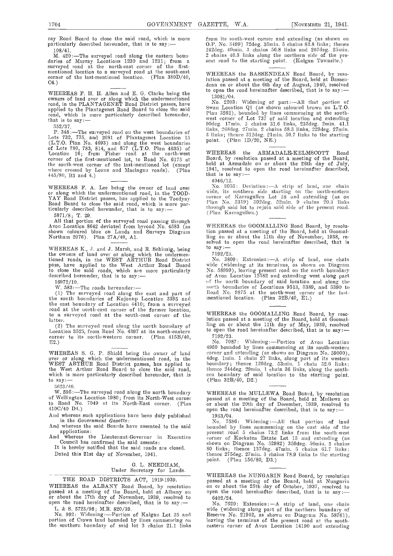108/41. 242deg. M. 420:-The surveyed road along the eastern boun-<br>daries of Murray Locations 1230 and 1231; from a seut road<br>surveyed road at the north-east corner of the firstmentioned location to a surveyed road at the south-east corner of the last-mentioned location. (Plan 380D/40, corner of the last-mentioned location. (Plan  $380D/40$ , C4.)

WHEREAS F. H. H. Allen and E. G. Clarke being the owners of land over or along which the undermentioned road, in the PLANTAGENET Road District passes, have applied to the Plantagenet Road Board to close the said applied to the Plantagenet Road Board to close the said road, which is more particularly described hereunder, that is to say:-

552/37.

P. 348:—The surveyed road on the west boundaries of the lots 732, 735, and 2081 of Plantagenet Location 15 mont (L.T.O. Plan No. 4693) and along the west boundaries <sup>pol</sup><br>of Lots 780, 783, 814, and 817 (L.T.O. Plan 4635) of<br>Location 16; from Fisher road at the north-west W<sup>I</sup> corner of the first-mentioned lot, to Road No. 6175 at the south-west corner of the last-mentioned lot (except where crossed by Leane and Maclagan roads). (Plan  $445/80$ , B3 and 4.)  $445/80$ , B3 and 4.)  $4046/12$ .

WHEREAS F. A. Lee being the owner of land over using which the undermentioned road, in the TOOD-<br>
YAY Road District passes, has applied to the Toodyay corne<br>
Road Board to close the said road, which is more particularly described hereunder, that is to say: $-$  5871/8; T. 29.

All that portion of the surveyed road passing through Avon Location 8642 deviated fiom byroad No. 4583 (as shown coloured blue on Lands and Surveys Diagram Northam 2076). Plan 27A/40, Al.

WHEREAS K., J. and J. Marsh, and R. Schinzig, being to sales the owners of land over or along which the undermen-<br>tioned roads, in the WEST ARTHUR Road District pass, have applied to the West Arthur Road Board wide to close the said roads, which are more particularly  $\begin{array}{cc} \text{No. } \varepsilon \text{ is} & \text{No. } \varepsilon \end{array}$ 

16972/10.

W. 583:-The roads hereunder:-

The surveyed road along the east and part of  $R$ the south boundaries of Kojonup Location 3395 and menti the east boundary of Location 4410; from a surveyed road at the north-east corner of the former location, to a surveyed road at the south-east corner of the latter.

(2) The surveyed road along the north boundary of Location 3525, from Road No. 4397 at its north-eastern corner to its north-western corner. (Plan 415B/40, corner to its north-western corner. E2.)

WHEREAS S. G. P. Shield being the owner of land corner over or along which the undermentioned road, in the WEST ARTHUR Road District passes, has applied to the West Arthur Road Board to close the said road, the which is more particularly described hereunder, that is which is more particularly described hereunder, that is to  $\text{say:}\$ 

3623/40.

W. 595:-The surveyed road along the north boundary of Wellington Location 1980; from its North-West corner to Road No. 7049 at its North-East corner. (Plan 4100/40 D4.)

And whereas such applications have been duly published in the Government Gazette:

And whereas the said Boards have assented to the said

Council has confirmed the said assents:<br>It is hereby notified that the said roads are closed.

Dated this 21st day of November, 1941.

#### 0. L. NEEDHAM, Under Secretary for Lands.

# THE ROAD DISTRICTS ACT, 1919-1939.

WHEREAS the ALBANY Road Board, by resolution on or passed at a meeting of the Board, held at Albany on open or about the 17th day of November, 1939, resolved to 640 open the road hereinafter described, that is to say:  $-$  No. L. & S. 5723/98; M.R. 820/39.

portion of Crown land bounded by lines commencing on leavi<br>the southern boundary of said lot 3 chains 21.1 links easte

ray Road Board to close the said road, which is niore from its south-west corner and extending (as shown on particularly described hereunder, that is to say: - 0.P. No. 3499) 72deg. 35min. 5 chains 83.8 links; thence 242de 242deg. 40min. 3 chains 56.8 links and 267deg. 25min.<br>2 chains 40.3 links along the northern side of the present road to the starting point. (Kalgan Townsite.)

> WHEREAS the BASSENDEAN Road Board, by resolut.ion passed at a nieeting of the Board, held at Bassen- dean on or about the 6th day of August, 1940, resolved to open the road hereinafter described, that is to say :-13081/04.

No. 2203: Widening of part :---All that portion of Swan Location Q1 (as shown coloured brown on L.T.O. Plan 3262), bounded by lines commencing at the southivest corner of Lot 737 of said location and extending Oodeg. 17mm. 3 chains 3L6 links, 235deg. 2mm. 41.1 links, 268deg. 27min. 2 chains 58.3 links, 229deg. 27min.<br>3 links; thence 312deg. 21min. 50.7 links to the starting point. (Plan 1D/20, NE.)

WHEREAS the ARMADALE-KELMSCOTT Road Board, by resolution passed at a meeting of the Board, held at Armadale on or about the 26th day of July, 1941, resolved to open the road hereinafter described,

4046/12.<br>No. 3055: Deviation:—A strip of land, one chain<br>wide, its southern side starting on the north-eastern eorner of Karragullen Lot 38 and extending (as on Plan No. 5319) 302deg. 52min. 9 chains 20.3 links throngh said lot to rejoin said side of the present road.<br>(Plan Karragullen.)

WHEREAS the GOOMALLING Road Board, by resolution passed at a meeting of the Board, held at Goomal-ling on or about the 11th day of November, 1938, re- solved to open the road hereinafter described, that is solved to open the road hereinafter described, that is<br>to say:-

7 192/23.

No. 3809: Extension :-A strip of land, one chain wide (widening at its terminus, as shown on Diagram No. 58999), leaving present road on the north boundary of Avon Location 12582 and extending west along part of the north boundary of said location and along the north boundaries of Locations 9513, 5389, and 5390 to north boundaries of Locations 9513, 5389, and 5390 to<br>Road No. 9875 at the north-west corner of the last-<br>mentioned location. (Plan 32B/40, E1.)

WHEREAS the GOOMALLING Road Board, by resolution passed at a meeting of the Board, held at 000mal- hug on or about the 11th day of May, 1939, resolved to open the road hereinafter described, that is to say:

7192/23.<br>No. 7087: No. 7087: Widening:-Portion of Avon Location 4950 hounded by lines commencing at its south-western corner and extending (as shown on Diagram No. 59000), 4deg. hum. 1 chain 27 links, along part of its western boundary; thence 120deg. 53min. 1 chain 32.6 links; thence 244deg. 29min. 1 chain 36 links, along the south-<br>ern boundary of said location to the starting point.<br>(Plan 32B/40, D2.)

WHEREAS the MULLEWA Road Board, by resolution<br>passed at a meeting of the Board, held at Mullewa on or about the 20th day of December, 1939, resolved to open the road hereinafter described, that is to say:- 1953/04.

And whereas the Lieutenant-Governor in Executive corner of Kockatea Estate Lot 15 and extending (as No. 7586: Widening: - All that portion of land bounded by lines commencing on the east side of the present road 5 chains 73.2 links from the south-west corner of Kockatea Estate Lot 15 and extending (as<br>shown on Diagram No. 52982) 359deg. 56min. 3 chains<br>80 links; thence 137deg. 47min. 5 chains 61.7 links;<br>thence 275deg. 27min. 3 chains 78.9 links to the starting<br>point. (

> WHEREAS the NUNGARIN Road Board, by resolution passed at a meeting of the Board, held at Nungarin on or about the 25th day of October, 1937, resolved to open the road hereinafter described, that is to say: 6402/24.

No. 992: Widening :-Portiou of Kalgan Lot 35 and No. 7620: Extension: -A strip of land, one chain wide (widening along part of the northern boundary of Reserve No. 21942, as shown on Diagram No. 58761) leaving the terminus of the present road at the south- castern corner of Avon Location 14190 and extending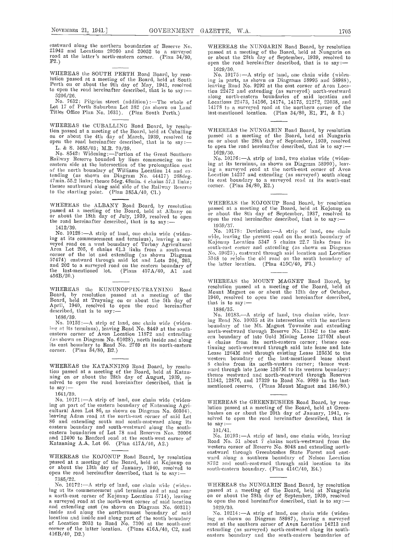eastward along the northern boundaries of Reserve No. 21942 and Locations 20260 and 20052 to a surveyed road at the latter's north-eastern corner. (Plan  $34/80$ , F2.)

WHEREAS the SOUTH PERTH Road Board, by resolution passed at a meeting of the Board, held at South Perth on or about the 9th day of May, 1941, resolved to open the road hereinafter described, that is to say:-

 $5206/26$ .<br>No. 7632: Pilgrim street (addition):—The whole of Lot 17 of Perth Suburban Lot 382 (as shown on Land Titles Office Plan No. 1631). (Plan South Perth.)

WHEREAS the CUBALLING Road Board, by resolution passed at a meeting of the Board, held at Cuballing on or about the 4th day of March, 1939, resolved to open the road hereinafter described, that is to say: -<br>L. & S. 3685/03; M.R. 70/39.<br>No. 8542: Widening: --Portion

Railway Reserve bounded by lines commencing on its eastern side at the intersection of the prolongation east eastern side at the intersection of the prolongation east of the north boundary of Williams Location 14 and extending (as shown on Diagram No.  $44417$ ) 268deg.  $147$  min. 55.2 links; thence 5deg.  $48$ min. 4 chains 57.1 links; thence southward along said side of the Railway Reserve <sup>co</sup><br>to the starting point. (Plan 385A/40, C1.)

WHEREAS the ALBANY Road Board, by resolution passed at a meeting of the Board, held at Albany on or about the 18th day of July, 1939, resolved to open the road hereinafter described, that is to say:

1412/39.

No. 10128: $-A$  strip of land, one chain wide (widen-<br>ing at its commencement and terminus), leaving a suring at its commencement and terminus), leaving a sur-<br>veyed road on a west boundary of Torbay Agricultural Area Lot 205, 6 chains 61.3 links from a south-west south-east corner of the lot and extending (as shown Diagram 57474) eastward through said lot and Lots 204, 203,  $\frac{5}{4}$ <br>and 202 to a surveyed road on the eastern boundary of the last-mentioned lot. (Plans 457A/40, A1 <sup>"</sup>and<br>456B/20.)

Board, by resolution passed at a meeting of the Board, held at Trayning on or about the 5th day of April, 1940, resolved to open the road ilereinafter described, that is to say:-

1686/39.

''iv at its terminus), leaving Road No. 8449 at the sontl,- eastern corner of Avon Location 11872 and extending (as shown on Diagram No. 61028), north inside and along its east boundary to Road No. 2769 at its north-eastern corner. (Plan 34/80, B2.)

WHEREAS the KATANNING Road Board, by resolution passed at a meeting of the Board, held at Katan. wan<br>ning on or about the 28th day of August, 1939, re-<br>solved to open the road hereinafter described, that is  $\frac{1}{10}$  say: —

1641/39.

No. 10171:- A strip of land, one chain wide (widening on part of the eastern boundary of Katanning Agri-<br>cultural Area Lot 86, as shown on Diagram No. 60304), leaving Adam road at the north-east corner of said Lot solved t<br>86 and extending south and south-eastward along i eastern boundary and south-westward along the south-<br>eastern boundaries of Lot 78 and Reserves Nos. 20006  $\frac{101}{41}$ .<br>and 12400 to Banford road at the south-west souper of No. 10193:—A strip of land, one chain wide, lea and 12400 to Ranford road at the south-west corner of Katanning A.A. Lot 66. (Plan 417A/40, A2.)

WHEREAS the KOJONUP Road Board, by resolution ward<br>passed at a meeting of the Board, held at Kojonup on 8752<br>or about the 13th day of January, 1940, resolved to south-<br>open the road hereinafter described, that is to say:— 73 85/22.

No. 10172 :- A strip of land, one chain wide (widening at its commencement and terminus and at and near a north-east corner of Kojonup Location 5714), leaving a surveyed road at the north-west corner of said location amId extending east (as shown on Diagram No. 60311) inside and along the northernmost boundary of said location and inside and along part of the south boundary of Location 2033 to Road No. 7306 at the south-east corner of the latter location. (Plans  $416A/40$ , C2, and exter 416B/40, D2.)

WHEREAS the NUNGARIN Road Board, by resolution<br>passed at a meeting of the Board, held at Nungarin on or about the 28th day of September, 1939, resolved to open the road hereinafter described, that is to say:-

1629/30.

No. 10175 :—A strip of land, one chain wide (widen-<br>ing in parts, as shown on Diagrams 58995 and 58988),<br>leaving Road No. 9292 at the east corner of Avon Location 22472 and extending (as surveyed) north-westward along north-eastern boundaries of said location and<br>Locations 22473, 14166, 14174, 14175, 21272, 23038, and 14178 to a surveyed road at tile northern corner of the last-mentioned location. (Plan 34/80, El, Fl, & 2.)

WHEREAS the NUNGARIN Road Board, by resolution<br>passed at a meeting of the Board, held at Nungarin<br>on or about the 28th day of September, 1939, resolved to open the road hereinafter described, that is to say: 1629/30.

No. 10176: - A strip of land, two chains wide (widening at its terminus, as shown on Diagram 58990), leav-<br>ing a surveyed road at the north-east corner of Avon ing a surveyed road at the north-east corner of Avon<br>Location 14237 and extending (as surveyed) south along its east boundary to a surveyed road at its south-east corner. (Plan  $34/80$ , E2.)

WHEREAS the KOJONUP Road Board, by resolution passed at a meeting of the Board, held at Kojonup on or about the 8th day of September, 1937, resolved to open the road hereinafter described, that is to say:-

1959/37.<br>No. 10178: Deviation:—A strip of land, one chain No. 10178: Deviation:—A strip of land, one chain wide, leaving the present road on the south boundary of Kojonup Location 5347 5 chains 22.7 links from its south-east corner and extending (as shown on Diagram No. 59623), eastward through said location and Location<br>5348 to rejoin the old road on the south boundary of the latter location. (Plan 415C/40, F3.)

WHEREAS the KUNUNOPPIN-TRAYNING Road resolution passed at a meeting of the Board, held at Roard at a meeting of the Board, held at WHEREAS the MOUNT MAGNET Road Board, by 1940, resolved to open the road hereinafter described, that is to say: $-$ 

1886/35.

noso/39.<br>No. 10152:—A strip of land, one chain wide (widen- log Road No. 10035 at its intersection with the northern No. 10183.-A strip of land, two chains wide, leavboundary of the Mt. Magnet Townsite and extending north-westward through Reserve No. 11342 to the east-<br>ern boundary of late Gold Mining Lease 1276M about 4 chains from its north-eastern corner; thence continuing north-westward through said late lease and late tinuing north-westward through said late lease and late<br>Lease 1264M and through existing Lease 1255M to the western boundary of the last-mentioned lease about<br>3 chains from its north-western corner; thence westward through late Lease 1367M to its western boundary; thence westward and north-westward through Reserves 11342, 12876, and 17329 to Road No. 9989 in the lastmentioned reserve. (Plans Mount Magnet and 186/80.)

> WHEREAS the GREENBUSHES Road Board, by resolution passed at a meeting of the Board, held at Green-<br>bushes on or about the 20th day of January, 1941, resolved to open the road hereinafter described, that is

10 1/41.

Road No. 51 about 7 chains north-westward from the western corner of Reserve No. 8048 and extending northwestern corner of Reserve No. 8048 and extending north- eastward througil Greenbusiles State Forest amid east- ward along a southern boundary of Nelson Location 8752 and south-eastward through said location to its south-eastern boundary. (Plan 414C/40, E4.)

WHEREAS the NUNGARIN Road Board, by resolution passed at a meeting of the Board, held at Nungarin<br>on or about the 28th day of September, 1939, resolved to open the road hereinafter described, that is to say: 1629/3 0.

No. 10214: - A strip of land, one chain wide (widening as shown on Diagram 58987), leaving a surveyed road at the southern corner of Avon Location 14213 amid extending (as surveyed) north-eastward along its southeastern boundary and the south-eastern boundaries of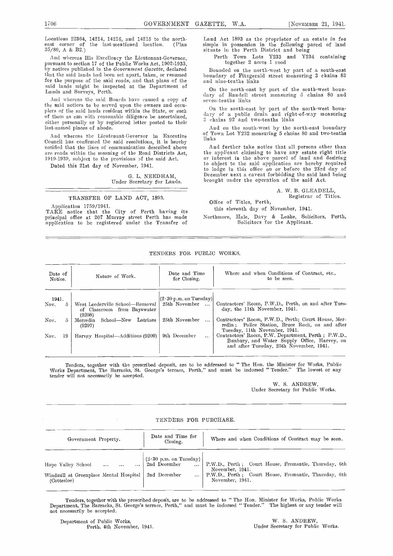Locations 22364, 14214, 14216, and 14215 to the northeast corner of the last-mentioned location. (Plan<br>35/80, A & B2.)

And whereas His Excellency the Lieutenant-Governor, by notices published in the Government Gazette, declared Bounded on the north-west by part of a south-east that the said lands had been set apart, taken, or resumed for the purpose of the said roads, and that plans of the said lands might be inspected at the Department of Lands and Surveys, Perth.

And whereas the said Boards have caused a copy of the said notices to be served upon the owners and occupiers of the said lands resident within the State, or such of them as can with reasonable diligence be ascertained, either personally or by registered letter posted to their last-named places of abode.

And whereas the Lieutenant-Governor in Executive Council has confirmed the said resolutions, it is hereby notified that the lines of communication described above are roads within the meaning of the Road. Districts Act, 1919-1939, subject to the provisions of the said Act.

Dated this 21st day of November, 1941.

G. L. NEEDHAM, Under Secretary for Lands.

#### TRANSFER OF LAND ACT, 1893.

Application 1759/1941.<br>TAKE notice that the City of Perth having its principal office at 207 Murray street Perth has made Mort<br>application to be registered under the Transfer of

Land Act 1893 as the proprietor of an estate in fee simple in possession in the following parcel of land situate in the Perth District and being

Perth Town Lots Y233 and Y234 containing together 2 acres 1 rood

boundary of Fitzgerald street measuring 3 chains 83 and nine-tenths links

On the north-east by part of the south-west boun-<br>dary of Randell street measuring 5 chains 80 and seven-tenths links

On the south-east by part of the north-west boun-<br>dary of a public drain and right-of-way measuring  $3$  chains  $92$  and two-tenths links

And on the south-west by the north-east boundary of Town Lot Y232 measuring 5 chains 80 and two-tenths links

And further take notice that all persons other than the applicant claiming to have any estate right title or interest in the above parcel of land and desiring to object to the said application arc hereby required to lodge in this office on or before the 23rd day of December next a caveat forbidding the said land being brought under the operation of the said Act.

A. W. B. GLEADELL,<br>Registrar of Titles.

Office of Titles, Perth,

this eleventh day of November, 1941.

Northmore, Hale, Davy & Leake, Solicitors, Perth, Solicitors for the Applicant.

TENDERS FOR PUBLIC WORKS.

| Date of    | Nature of Work.                                        | Date and Time                        | Where and when Conditions of Contract, etc                                                                                                     |
|------------|--------------------------------------------------------|--------------------------------------|------------------------------------------------------------------------------------------------------------------------------------------------|
| Notice.    |                                                        | for Closing.                         | to be seen.                                                                                                                                    |
| 1941.      | West Leederville School—Removal                        | $(2\cdot30 \text{ p.m. on Tuesday})$ | Contractors' Room, P.W.D., Perth, on and after Tues-                                                                                           |
| Nov.       | of Classroom from Bayswater                            | 25th November                        | day, the 11th November, 1941.                                                                                                                  |
| Nov.       | (9208)<br>Latrines<br>School—New<br>Merredin<br>(9207) | 25th November                        | Contractors' Room, P.W.D., Perth; Court House, Mer-<br>redin; Police Station, Bruce Rock, on and after<br>Tuesday, 11th November, 1941.        |
| Nov.<br>19 | Harvey Hospital—Additions (9209)                       | 9th December                         | Contractors' Room, P.W. Department, Perth ; P.W.D.,<br>Bunbury, and Water Supply Office, Harvey, on<br>and after Tuesday, 25th November, 1941. |

Tenders, together with the prescribed deposit, are to be addressed to "The Ron. the Minister for Works, Public Works Department, The Barracks, St. George's terrace, Perth," and must be indorsed "Tender." The lowest or any tender will not necessarily be accepted.

> W. S. ANDREW, Under Secretary for Public Works.

#### TENDERS FOR PURCHASE.

| Government Property.                                                                         | Date and Time for<br>Closing.                                                                                            | Where and when Conditions of Contract may be seen.                                                                                                  |
|----------------------------------------------------------------------------------------------|--------------------------------------------------------------------------------------------------------------------------|-----------------------------------------------------------------------------------------------------------------------------------------------------|
| Hope Valley School<br>$\cdot \cdot$<br>Windmill at Greenplace Mental Hospital<br>(Cottesloe) | $\begin{bmatrix} (2 \cdot 30 \text{ p.m. on Tuesday}) \\ 2 \text{nd December} \end{bmatrix}$<br>2nd December<br>$\cdots$ | P.W.D., Perth : Court House, Fremantle, Thursday, 6th<br>November, 1941.<br>P.W.D., Perth; Court House, Fremantle, Thursday, 6th<br>November, 1941. |

Tenders, together with the prescribed deposit, are to be addressed to "The Hon. Minister for Works, Public Works<br>Department, The Barracks, St. George's terrace, Perth," and must be indorsed "Tender." The highest or any ten not necessarily be accepted.

Department of Public Works, Perth, 4th November, 1941.

W. S. ANDREW, Under Secretary for Public Works.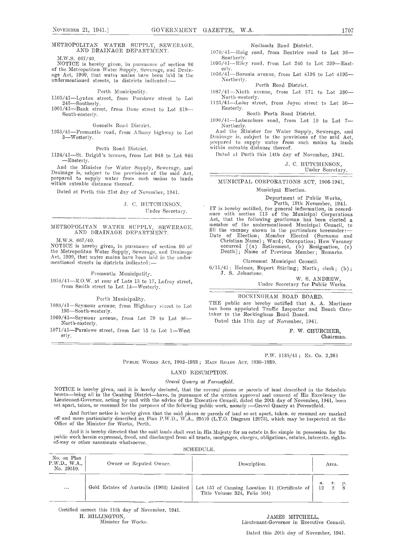# METROPOLITAN WATER SUPPLY, SEWERAGE, AND DRAINAGE DEPARTMENT.

M.W.S. 667/40.

 $\rm{NOTICE}$  is hereby given, in pursuance of section 96  $\rm ^{1095}$ of the Metropolitan Water Supply, Sewerage, and Drain-<br>age Act, 1909, that water mains have been laid in the 1056<br>undermentioned streets, in districts indicated:—

#### Perth Municipality.

1105/41-Lynton street, from Purslowe street to Lot 245 Southerly.<br>
245 Southerly.<br>
1001/41 Bank street, from Dane street to Lot 819 Basterly.

South-easterly.

Gosnelis Road District.

1053/41-Fremantle road, from Albany highway to Lot 3-Westerly,

#### Perth Road District.

1124/41-St. Brigid's terrace, from Lot 948 to Lot 946 -Easterly.

And the Minister for Water Supply, Sewerage, and Drainage is, subject to the provisions of the said Act, prepared to supply water from such mains to lands within rateable distance thereof.

Dated at Perth this 21st day of November, 1941.

### J. C. HUTCHINSON. Under Secretary.

#### METROPOLITAN WATER SUPPLY, SEWERAGE, AND DRAINAGE DEPARTMENT.

M.W.S. 667/40.

NOTICE is hereby given, in pursuance of section 96 of the Metropolitan Water Supply, Sewerage, and Drainage Act, 1909, that water mains have been laid in the undermentioned streets in districts indicated :-

#### Fremantle Municipality.

 $1054/41 - R.O.W.$  at rear of Lots 13 to 17, Lefroy street, from Smith street to Lot 14-Westerly.

#### Perth Municipality.

 $1086/41-\mbox{Seymour}$  avenue, from Highbury street to Lot 195—South-westerly.

 $1069/41$ -Seymour avenue, from Lot 79 to Lot 80-North-easterly.

 $1071/41$ -Purslowe street, from Lot 15 to Lot 1-West erly.

Nedlauds Road District.

 $1070/41$ -Haig road, from Beatrice road to Lot 36-<br>Sontherly.

 $1095/41$ -Riley road, from Lot 240 to Lot 239-Easterly.

 $\frac{1056}{41}$ Boronia avenue, from Lot 4196 to Lot 4195—Northerly.

Perth Road District.

 $1087/41$ -Ninth avenue, from Lot 371 to Lot 380-

North-westerly.<br>
1123/41—Lalor street, from Joyce street to Lot 30—<br>
Easterly.<br>
South Perth Road District.

1090/41—Labouchere road, from Lot 10 to Lot 7—Northerly.

And the Minister for Water Supply, Sewerage, and Drainage is, subject to the provisions of the said Act, prepared to supply water from such mains to lands within rateable distance thereof.

Dated at Perth this 14th day of November, 1941.

J. C. HUTCHINSON. Under Secretary.

#### MUNICIPAL CORPORATIONS ACT, 1906-1941.

Municipal Election.

Department of Public Works, Perth, 19th November, 1941.<br>IT is hereby notified, for general information, in accordance with section 113 of the Municipal Corporations Act, that the following gentleman has been elected a member of the undermentioned Municipal Council, to fill the vacancy shown in the particulars hereunder: ---<br>Date of Election; Member Elected (Surname and Christian Name) ; Ward; Occupation; How Vacancy occurred [(a) Retirement, (0) Resignation, (e) Death]; Name of Previous Member; Remarks.

Claremont Municipal Council.

6/11/41; Holmes, Rupert Stirling; North; clerk; (b) J. S. Johnstone,

> W. S. ANDREW, Under Secretary for Public Works.

# ROCKINGHAM ROAD BOARD.

THE public are hereby notified that A. A. Mortimer bias been appointed Traffic Inspector and Beach Caretaker to the Rockingham Road Board.

Dated this 11th day of November, 1941.

F. W. CHURCHER, Chairman.

P.W. 1135/41 ; Ex. Co. 9,261

Public Works Act, 1902–1933 ; Main Roads Act, 1930–1939.

LAND RESUMPTION.

#### Gravel Quarry at Forrestfield.

NOTICE is hereby given, and it is hereby declared, that the several pieces or parcels of land described in the Schedule<br>hereto—being all in the Canning District—have, in pursuance of the written approval and consent of His Lieutenant-Governor, acting by and with the advice of the Executive Council, dated the 20th day of November, 1941, been set apart, taken, or resumed for the purposes of the following public work, namely :- Gravel Quarry at Forrestfield.

And further notice is hereby given that the said pieces or parcels of land so set apart, taken, or resumed are marked off and more particularly described on Plan P.W.D., W.A., 29510 (L.T.O. Diagram 12075), which may be inspected at the<br>Office of the Minister for Works, Perth.

And it is hereby directed that the said lands shall vest in His Majesty for an estate in fee simple in possession for the public work herein expressed, freed, and discharged from all trusts, mortgages, charges, obligations

| No. on Plan<br>P.W.D., W.A.,<br>No. 29510. | Owner or Reputed Owner. |                                          | Description.                                                                     |    | Area.                                |
|--------------------------------------------|-------------------------|------------------------------------------|----------------------------------------------------------------------------------|----|--------------------------------------|
| $\cdots$                                   |                         | Gold Estates of Australia (1903) Limited | Lot 157 of Canning Location 11 (Certificate of  <br>Title Volume 324, Folio 104) | а. | r.<br>$\mathbb{P}$<br>$\overline{2}$ |

Certified correct this 11th day of November, 1941.

H. MILLINGTON, JAMES MITCHELL, Minister for Works. Licutenant.Governor in Executive Council.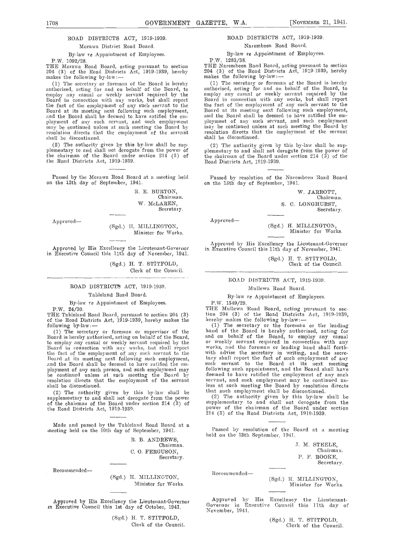#### ROAD DISTRICTS ACT, 1919-1939.

#### Morawa District Road Board.

By-law re Appointment of Employees.

P.W. 1092/28. THE Morawa Road Board, acting pursuant to section THE 204 (3) of the Road Districts Act, 1919-1939, hereby makes the following by-law:

(1) The secretary or foreman of the Board is hereby authorised, acting for and on behalf of the Board, to employ any casual or weekly servant required by the Board in connection with any works, but shall report Board at its meeting next following such employment, and the Board shall be deemed to have ratified the employment of any such servant, and such employment may be continued unless at such meeting the Board by resolution directs that the employment of the servant resolution directs that shall be discontinued.

(2) The authority given by this by-law shall be sup-<br>plementary to and shall not derogate from the power of the chairman of the Board under section 214 (3) of the Road Districts Act, 1919-1939.

Passed by the Morawa Road Board at a meeting held Passed by resolution of the Narem on the 13th day of September, 1941.

R. E. BURTON. Chairnian. w. MeLAREN, Secretary.

Approved

(Sgd.) H. MILLINGTON, Minister for Works.

Approved by His Excellency the Lieutenant-Governor in Executive Council this 11th day of November, 1941.

> (Sgd.) H. T. STITFOLD, Clerk of the Council.

ROAD DISTRICT8 ACT, 1919-1939.

#### Tableland Road Board.

By-law ye Appointment of Employees.

P.W. 24/30.

THE Tableland Road Board, pursuant to section 204 (3) of the Road Districts Act, 1919-1939, hereby makes the following by-law:-

following by-law: (1)<br>
(1) The secretary or foreman or supervisor of the hand<br>
Board is hereby authorised, acting on behalf of the Board, and<br>
to employ any casual or weekly servant required by the or v<br>
Board in connectio the fact of the employment of any such servant to the with Board at its meeting next following such employment, and the Board shall be deemed to have ratified the cm. ployment of ally such person, and such employment may be continued unless at such meeting timeBoard by resolution directs that the employment of the servant shall be discontinued.

(2) The authority given by this by-law shall be supplementary to and shall not derogate from the power of the chairman of the Board under section 214 (3) of the Road Districts Act, 1919-1939.

Made and passed by the Tableland Road Board at a<br>meeting held on the 10th day of September, 1941. Passed by resolution of the Intervalsed by resolution of the I

R. B. ANDREWS, Chairman. C. 0. FERGUSON, Secretary.

Recommended----

(Sgd.) H. MILLINGTON, Minister for Works.

Approved by His Excellency the Lieutenant-Governor in Executive Council this 1st day of October, 1941.

(Sgd.) H. T. STITFOLD, Cicrk of the Council.

# ROAD DISTRICTS ACT, 1919-1939.

Narembeen Road Board.

By-law re Appointment of Employees.

P.W. 1283/38.<br>THE Narembeen Road Board, acting pursuant to section 204 (3) of the Road Districts Act, 1919-1939, hereby makes the following by-law:—

(1) The secretary or foreman of the Board is hereby authorised, acting for and on behalf of the Board, to employ any casual or weekly servant required by the Board in connection with any works, but silall report the fact of the employment of any such servant to the Board at its meeting next following such employment, and the Board shall be deemed to have ratified the employment of any such servant, and such employment may be continued unless at such meeting the Board by resolution directs that the employment of the servant shall be discontinued.

(2) The authority given by this by-law shall be sup-<br>plementary to and shall not derogate from the power of the chairman of the Board under section 214 (3) of the Road Districts Act, 1919-1939.

Passed by resolution of the Narembeen Road Board

W. JARROTT, Chairman. S. C. LONGHURST, Secretary.

Approved

(Sgd.) H. MILLINGTON, Minister for Works

Approved by His Excellency the Lieutenant-Governor<br>in Executive Council this 11th day of November, 1941.

(Sgd.) H. T. STITFOLD,<br>Clerk of the Council.

#### ROAD DISTRICTS ACT, 1919-1939.

## Mullewa Road Board.

# By-law re Appointment of Employees. P.W. 1549/29.

THE Mullewa Road Board, acting pursuant to section 204 (3) of the Road Districts Act, 1919-1939, hereby makes the following by-law: The secretary or the foreman or the leading

hand of the Board is hereby authorised, acting for<br>and on behalf of the Board, to employ any casual<br>or weekly servant required in connection with any<br>works, and the foreman or leading hand shall forth-<br>with advise the secr such servant to the Board at its next meeting following such appointment, and the Board shall have<br>deemed to have ratified the employment of any such servant, and such employment may be continued un-<br>less at such meeting the Board by resolution directs

that such employment shall be discontinued.<br>(2) The authority given by this by-law shall be supplementary to and shall not derogate from the power of the chairman of the Board under section 214 (3) of the Road Districts Act, 1919-1939.

Passed by resolution of the Board at a meeting

.1, N. STEELE, Chairman. P. F. ROOKE, Secretary.

Recommended-

(Sgd.) H. MILLINOTON, Mimlister for Works.

Approved by His Excellency the Lieutenant. Governor in Executive Council this 11th day of Novemher, 1941.

(Sgd.) H. T. STITFOLD, Clerk of the Council.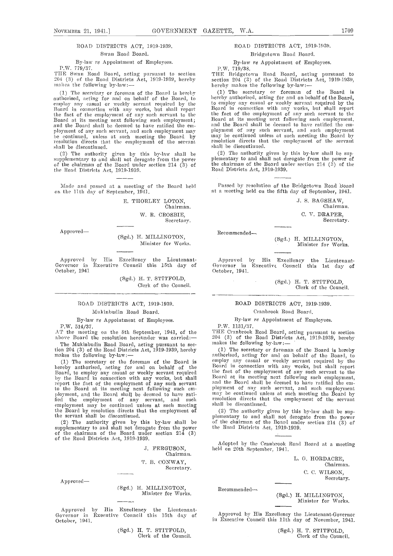# ROAD DISTRICTS ACT, 1919-1939. Swan Road Board.

#### By-law re Appointment of Employees.

P.W. 779/37.

THE Swan Road Board, acting pursuant to section <sup>204</sup> (3) of the Road Districts Act, 1919-1939, hereby wakes the following by-law:

The secretary or foreman of the Board is hereby  $(1)$ authorised, acting for and on behalf of the Board, to employ any casual or weekly servant required by the to en<br>Board in connection with any works, but shall report Boar the fact of the employment of any such servant to the Board at its meeting next following such employment; and the Board shall be deemed to have ratified the employnient of any such servant, and such employment may he continued, unless at such meeting the Board by may b resolution directs that the employment of the servant  $\frac{1}{s}$ 

(2) The authority given by this by-law shall be supplementary to and shall not derogate from the power of the chairman of the Board under section 214 (3) of the Road Districts Act, 1919-1939.

Made and passed at a meeting of the Board held on the 11th day of September, 1941.

E. THORLEY LOTON,

Chairman. W. B. CROSBIE,

Secretary.

Approved

(Sgd.) H. MILLINGTON, Minister for Works.

Approved by His Excellency the Lieutenant-Governor in Executive Council this 15th day of October, 1941

> (Sgd.) H. T. STITFOLD, Clerk of the Council.

# ROAD DISTRICTS ACT, 1919-1939.

# Mukinbudin Road Board.

By-law re Appointment of Employees.

P.W. 514/37.

The Mukinbudin Road Board, acting pursuant to section 204 (3) of the Road Districts Act, 1919-1939, hereby makes the following by-law:

(1) The secretary or the foreman of the Board is  $\frac{em_1}{em_2}$ <br>hereby authorised, acting for and on behalf of the  $\frac{em_2}{em_1}$ Board, to employ any casual or weekly servant required<br>by the Board in connection with any works, but shall Board<br>report the fact of the employment of any such servant<br>to the Board at its meeting next following such employ fled the employment of any servant, and such employment may he continued unless at such meeting the Board by resolution directs that the employment of<br>the servant shall be discontinued.

The authority given by this by-law shall be  $\qquad \text{of}$ supplementary to and shall not derogate from the power of the chairman of the Board under section 21.4 (3) of the Road Districts Act, 1919-1939.

.1. FERGUSON,

Chairman. T. B. CONWAY,

Secretary.

Approved

(Sgd.) H. MILLINGTON, Minister for Works.

Approved by His Excellency the Lieutenant-Governor in Executive Council this 15th day of October, 1941.

(Sgd.) H. T. STITFOLD, Clerk of the Council.

# ROAD DISTRICTS ACT, 1919-1939.

# Bridgetown Road Board.

## By-law re Appointment of Employees.

P.W. 719/38.

THE Bridgetown Road Board, acting pursuant to section 204 (3) of the Road Districts Act, 1919-1939, hereby makes the following by-law:

 $(1)$  The secretary or foreman of the Board is hereby authorised, acting for and on behalf of the Board, hereby authorised, acting for and on behalf of the Board, to employ any casual or weekly servant required by the Board in connection with any works, but shall report the fact of the employment of any such servant to the Board at its meeting next following such employment, and the Board shall be deemed to have ratified the emand the board shart be deemed to have rathed the comployment may be continued unless at such meeting the Board by resolution directs that the employment of the servant shall be discontinued.

The authority given by this by-law shall be sup plementary to and shall not derogate from the power of the chairman of the Board under section 214  $(3)$  of the Road Districts Act, 1919-1939.

Passed by resolution of the Bridgetown Road Board at a meeting held on the fifth day of September, 1941.

> .1. S. BAGSHAW, Chairman. C. V. DRAPER, Secretary.

Recommended-

(Sgd.) H. MILLINGTON, Minister for Works.

Approved by His Excellency the Lieutenant-Governor in Executive Council this 1st day of<br>October, 1941.

(Sgd.) H. T. STITFOLD, Clerk of the Council.

# ROAD DISTRICTS ACT, 1919-1939. Cranbrook Road Board.

# By-law re Appointment of Employees.

P.W. 1131/37.

AT the meeting on the 8th September, 1941, of the THE Cranbrook Road Board, acting pursuant to section above Board the resolution hereunder was carried: 204 (3) of the Road Districts Act, 1919-1939, hereby<br>The Mukinbudiu R THE Cranbrook Road Board, acting pursuant to section

> (1) The secretary or foreman of the Board is hereby anthorised, acting for and on behalf of the Board, to employ any casual or weekly servant required by the<br>Board in connection with any works, but shall report<br>the fact of the employment of any such servant to the<br>Board at its meeting next following such employment,<br>and the Bo ployment of any such servant, and such employment<br>may be continued unless at such meeting the Board by resolution directs that the employment of the servant shall be discontinued.

(2) The authority given by this by-law shall be sup-<br>plementary to and shall not derogate from the power<br>of the chairman of the Board under section 214 (3) of the Road Districts Act, 1919-1939.

Adopted by the Cranbrook Rood Board at a meeting held on 20th September, 1941.

> L. G. HORDACRE, Chairman. C. C. WILSON, Secretary.

Recommended-

(Sgd.) H. MILLINGTON, Minister for Works.

Approved by His Excellency the Lieutenant-Governor in Executive Council this 11th day of November, 1941.

> (Sgd.) H. T. STITFOLD, Clerk of the Council.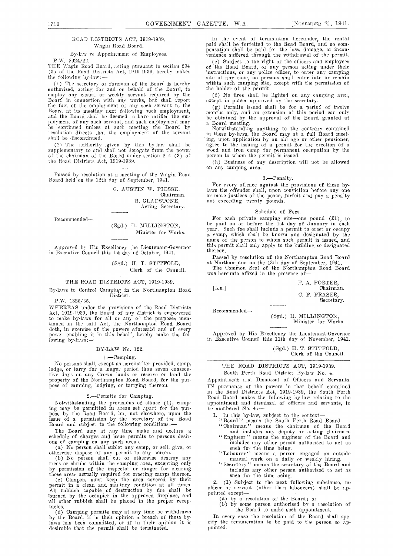# ROAD DISTRICTS ACT, 1919-1939. Wagin Road Board.

## By-law re Appointment of Employees. P.W. 2924/22.

(3) of the Road Districts Act, 1919-1939, hereby makes the following by-law:-

(1) The secretary or foreman of the Board is hereby within such camping site, thorised, acting for and on behalf of the Board, to the holder of the permit. tuthorised, acting for and on behalf of the Board, to eniplov any casual or weekly servant reqnired by the Board in connection yitli any works, but shall report the fact of the employment of any such servant to the  $\frac{1}{x}$ Board at its meeting next following such employment, and the Board shall he deemed to have ratified the employment of any such servant, and such employment may he continued unless at such meeting the Board by  $N<sub>g</sub>$ resolution directs that the employment of the servant shall be discontinued.

(2) The authority given by this by-law shall be ag supplementary to and shall not derogate from the power<br>of the chairman of the Board under section 214 (3) of<br>the Road Districts Act, 1919-1939.

Passed by resolution at a meeting of the Wagin Road Board held on the 12th day of September, 1941.

(1. AUSTIN W. PIESSE, Chairman. R. GLADSTONE, Acting Secretary.

Recommended-

#### (Sgd.) II. MILLINGTON, Minister for Works.

Approved by His Excellency the Lieutenant-Governor in Executive Council this 1st day of October, 1941.

> (Sgd.) H. T. STITFOLD, Clerk of the Council.

## THE ROAD DISTRICTS ACT, 1919-1939.

By-laws to Control Camping in the Northampton Road [L.S.]

P.W. 1325/35.

WHEREAS under the provisions of the Road Districts Act, 1919-1939, the Board of any district is empowered to make by-laws for all or any of the purposes mentioned in the said Act, the Northampton Road Board doth, in exercise of the powers aforesaid and of every<br>power enabling it in this behalf, hereby make the fol-<br>lowing by-laws:—  $\frac{1}{\ln}$ 

#### BY-LAW No. 122.

#### 1.-Camping.

No persons shall, except as hereinafter provided, camp, lodge, or tarry for a longer period than seven consecirtive days on any Crown lands or reserve or land the property of the Northampton Road Board, for the pur- pose of camping, lodging, or tarrying thereon.

#### 2.Permits for Camping.

Notwithstanding the provisions of clause (1), camp-<br>ing may be permitted in areas set apart for the pur-<br>pose by the Road Board, but not elsewhere, upon the issue of a permission by the secretary of the Road  $\overline{\phantom{a}}$   $\overline{\phantom{a}}$   $\overline{\phantom{a}}$  and subject to the following conditions:

The Board may at any time make and declare a schedule of charges and issue permits to persons desir-

ous of camping on any such areas.<br>(a) No person shall sublet any camp, or sell, give, or otherwise dispose of any permit to any person.

No person shall cut or otherwise destroy any trees or shrubs within the camping area, excepting only by permission of the inspector or ranger for clearing those areas actually required for erecting camps thereon.

those areas actually required for erecting camps thereon.<br>
(c) Campers must keep the area covered by their<br>
permit in a clean and saintary condition at all times.<br>
All rubbish capable of destruction by fire shall be<br>
burne all other rubbish shall be placed in the proper receptacles.

(d) Camping permits may at any time be withdrawn<br>by the Board, if in their opinion a breach of these bylaws has been committed, or if in their opinion it is desirable that the permit shall be terminated.

In the event of termination hereunder, the rental paid shall be forfeited to the Road Board, and no compensation shall be paid for the loss, damage, or incon-<br>venience suffered through the withdrawal of the permit.

P.W. 2924/22.<br>THE Wagin Road Board, acting pursuant to section 204 of the Road Board, or any person acting under their (e) Subject to the right of the officers and employees of the Road Board, or any person acting under their instructions, or any police officer, to enter any camping site at any time, no persons shall enter into or remain within such camping site, except with the permission of the holder of the permit.

No fires shall he lighted 011 any camping area, except in places approved by the secretary.

Perunts issued shall be for a period of twelve months only, and an extension of this period can only he obtained by the approval of tire Board granted at

a Board meeting.<br>Notwithstanding anything to the contrary contained ing, upon application by an old age or other pensioner, agree to the issuing of a permit for the erection of a wood and iron camp for permanent occupation by the person to whom the permit is issued.

(h) Business of any description will not be allowed on any camping area.

## 3.-Penalty.

For every offence against the provisions of these by-<br>laws the offender shall, upon conviction before any one or more justices of the peace, forfeit and pay a penalty not exceeding twenty pounds.

#### Schedule of Fees.

For each private camping site—one pound  $(f1)$ , to be paid on or before the 1st day of January in each year. Such fee shall include a permit to erect or occupy<br>a camp, which shall be known and designated by the<br>name of the person to whom such permit is issued, and this permit shall only apply to the building so designated thereon.

Passed by resolution of the Northampton Road Board at Northampton eu the 13th day of September, 1941. Tire Common Seal of the Northampton Road Board

was hereunto affixed in the presence of-

F. A. PORTER, Chairman. C. F. FRASER, Secretary.

Recommended-

(Sgd.) H. MILLINGTON, Minister for Works.

Approved by His Excellency the Lieutenant-Governor in Executive Council this 11th day of November, 1941.

(Sgd.) H. T. STITFOLD, Clerk of the Council.

# THE ROAD DISTRICTS ACT, 1919-1939.

South Perth Road District By-law No. 4.

Appointment and Dismissal of Officers and Servants. IN pursuance of the powers in that behalf contained in the Road Districts Act, 1919-1939, the South Perth Road Board makes the following by-law relating to the appointment and dismissal of officers and servants, to<br>be numbered No. 4:---

- In this by-law, subject to the context—<br>Board'' means the South Perth Road Board.
- 
- Chairman'' means the chairman of the Board
- and includes any deputy or acting chairman. "Engineer'' means the engineer of the Board and includes any other person authorised to act as<br>such for the time being.
- ''Labourer'' means a person engaged on outside manual work on a daily or weekly hiring.
- ''Secretary'' means tire secretary of the Board and includes any other person authorised to act as such for the time being.

 $(1)$  Subject to the next following subclause, no officer or servant (other than labourers) shall be ap-<br>pointed except—<br>(a) by a resolution of the Board; or<br>(b) by some person authorised by a resolution of

 $(b)$  by some person authorised by a resolution of the Board to make such appointment.

In every case the resolution of the Board shall spe-<br>cify the remuneration to be paid to the person so appointed.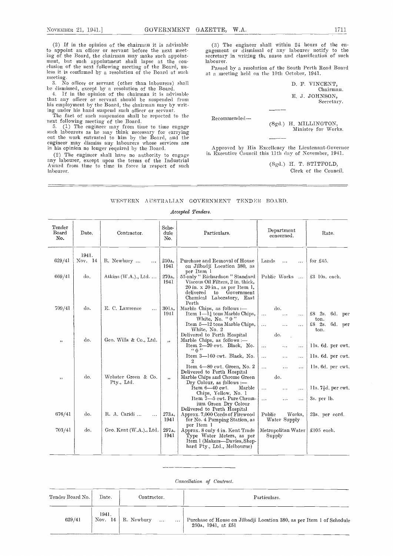(2) If in the opinion of the chairman it is advisable to appoint an officer or servant before the next meet-<br>ing of the Board, the chairman may make such appoint-<br>ment, but such appointment shall lapse at the con-<br>clusion of the next following meeting of the Board, un-<br>Passe less it is confirmed by a resolution of the Board at such  $\alpha$ meeting.

3. No officer or servant (other than labourers) shall be dismissed, except by a resolution of the Board.<br>4. If in the opinion of the chairman it is advisable

that any officer or servant should be suspended from<br>his employment by the Board, the chairman may by writlug nuder his hand suspend such officer or servant.

The fact of such suspension shall be reported to the

next following meeting of the Board.<br>5. (1) The engineer may from time to time engage<br>such labourers as he may think necessary for carrying<br>out the work entrusted to him by the Board, and the<br>engineer may dismiss any labou in his opinion no longer required by the Board.<br>(2) The engineer shall have no authority to engage

(2) The engineer signal have no automatic terms of the Industrial Award from time to time in force in respect of such labourer.

(3) The engineer shall within 24 hours of the engagement or dismissal of any labourer notify to the secretary in writing the name and classification of such labourer.

Passed by a resolution of the South Perth Road Board at a meeting held on the 10th October, 1941.

> F. VINCENT, Chairman. E. J. JOHNSON, Secretary.

Recommended-

(Sgd.) H. MILLINGTON, Minister for Works.

Approved by His Excellency the Lieutenant-Governor in Executive Council this 11th day of November, 1941.

> (Sgd.) H. T. STITFOLD, Clerk of the Council.

# WESTERN AUSTRALIAN GOVERNMENT TENDER BOARD.

# Accepted Tenders.

| Tender<br>Board<br>No. | Date.            | Contractor.                       | Sche-<br>dule<br>No.     | Particulars.                                                                                                                                                                                                                                                           | Department<br>concerned.                                                                                                              | Rate.                                                                                   |
|------------------------|------------------|-----------------------------------|--------------------------|------------------------------------------------------------------------------------------------------------------------------------------------------------------------------------------------------------------------------------------------------------------------|---------------------------------------------------------------------------------------------------------------------------------------|-----------------------------------------------------------------------------------------|
| 629/41                 | 1941.<br>Nov. 14 | R. Newbury<br>$\cdots$            | 250 <sub>A</sub><br>1941 | Purchase and Removal of House<br>on Jilbadji Location 380, as                                                                                                                                                                                                          | Lands<br>$\cdots$<br>.                                                                                                                | for $£45$ .                                                                             |
| 669/41                 | do.              | Atkins $(W.A.)$ ., Ltd            | 270A,<br>1941            | per Item 1<br>55 only "Richardson" Standard<br>Viscous Oil Filters, 2 in. thick,                                                                                                                                                                                       | Public Works<br>$\sim 100$                                                                                                            | £3 10s. each.                                                                           |
| 709/41                 | $d\sigma$ .      | E. C. Lawrence<br>$\cdots$        | 301 <sub>A</sub><br>1941 | $20$ in. x $20$ in., as per Item 1,<br>Government<br>delivered<br>to<br>Chemical Laboratory, East<br>Perth<br>Marble Chips, as follows :-<br>Item $1 - 1\frac{1}{4}$ tons Marble Chips,<br>White, No. "0"<br>Item 5-12 tons Marble Chips,                              | do.<br>$\sim$ .<br>$\cdots$<br>$\cdots$<br>$\sim$ $\sim$<br>$\cdots$<br>$\cdots$                                                      | $£8$ $2s$ $6d$ per<br>ton.<br>£8 $2s$ .<br>6d. per                                      |
| , ,                    | do.              | Geo. Wills & Co., Ltd.            | , ,                      | White, No. 2<br>Delivered to Perth Hospital<br>Marble Chips, as follows :-<br>Item $2-20$ ewt. Black, No.<br>(0, 0)                                                                                                                                                    | do.<br>$\sim$<br>$\cdots$<br>$\cdots$<br>$\sim$ $\sim$                                                                                | ton.<br>lls. 6d. per cwt.                                                               |
| , ,                    | do.              | Webster Green & Co.<br>Pty., Ltd. | ,                        | Item 3-160 cwt. Black, No.<br>2<br>Item 4-80 cwt. Green, No. 2<br>Delivered to Perth Hospital<br>Marble Chips and Chrome Green<br>Dry Colour, as follows :-<br>Item $6-40$ ewt.<br>Marble<br>Chips, Yellow, No. 1<br>Item 7-5 ewt. Pure Chrom-<br>ium Green Dry Colour | $\cdots$<br>$\cdots$<br>$\cdots$<br>$\cdots$<br>.<br>$\cdots$<br>do.<br>$\cdots$<br>$\cdots$<br>$\cdots$<br>$\cdots$<br>.<br>$\cdots$ | lls. 6d. per cwt.<br>11s. 6d. per cwt.<br>11s.7 <sup>1</sup> d. per ewt.<br>3s. per lb. |
| 676/41                 | do.              | R. A. Caridi<br>$\cdots$          | 273A,<br>1941            | Delivered to Perth Hospital<br>Approx. 7,000 Cords of Firewood<br>for No. 4 Pumping Station, as                                                                                                                                                                        | Public<br>Works.<br>Water Supply                                                                                                      | 23s, per cord.                                                                          |
| 703/41                 | do.              | Geo. Kent (W.A.)., Ltd.           | 297A,<br>1941            | per Item 1<br>Approx. 8 only 4 in. Kent Trade<br>Type Water Meters, as per<br>Item 1 (Makers-Davies, Shep-<br>hard Pty., Ltd., Melbourne)                                                                                                                              | Metropolitan Water  <br>Supply                                                                                                        | $£105$ each.                                                                            |

# Cancellation of Contract.

| Tender Board No. | Date.     | Contractor, | Particulars.                                                          |
|------------------|-----------|-------------|-----------------------------------------------------------------------|
| 629/41           | 1941.     | R. Newbury  | Purchase of House on Jilbadji Location 380, as per Item 1 of Schedule |
|                  | Nov. $14$ | $\cdots$    | 250a, 1941, at £51                                                    |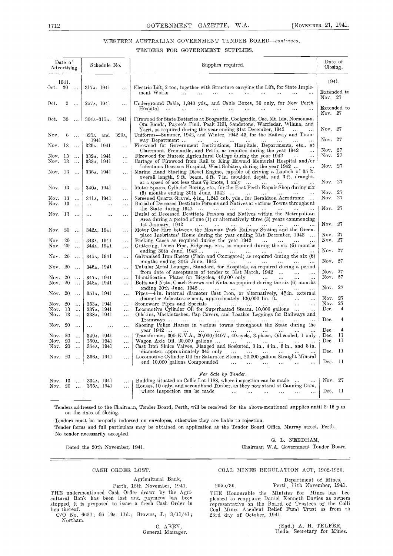# WESTERN AUSTRALIAN GOVERNMENT TENDER BOARD-continued.

# TENDERS FOR GOVERNMENT SUPPLIES

|                      | Date of<br>Advertising. |                                  | Schedule No.                             |                        | Supplies required.                                                                                                                                                                                                                                           | Date of<br>Closing.                     |
|----------------------|-------------------------|----------------------------------|------------------------------------------|------------------------|--------------------------------------------------------------------------------------------------------------------------------------------------------------------------------------------------------------------------------------------------------------|-----------------------------------------|
|                      | 1941.                   |                                  |                                          |                        |                                                                                                                                                                                                                                                              | 1941.                                   |
| Oct. 30              |                         |                                  | 317A. 1941                               | $\ddotsc$              | Electric Lift, 2-ton, together with Structure carrying the Lift, for State Imple-                                                                                                                                                                            |                                         |
|                      |                         |                                  |                                          |                        | ment Works<br>المتفاد المتفاد الفقار الفقد المفقار القفار الفقرات القفرات                                                                                                                                                                                    | Extended to<br>Nov. 27                  |
| Oct.                 | $\overline{2}$          | $\sim$ . $\sim$                  | 257 <sub>A</sub> , 1941                  | $\ddotsc$              | Underground Cable, 1,840 yds., and Cable Boxes, 36 only, for New Perth<br>$\ddotsc$                                                                                                                                                                          | Extended to<br>Nov. 27                  |
| Oct.                 | 30                      | $\sim$ $\sim$ $\sim$             | $304A - 315A$ .                          | 1941                   | Firewood for State Batteries at Boogardie, Coolgardie, Cne, Mt. Ida, Norseman,<br>Ora Banda, Payne's Find, Peak Hill, Sandstone, Warriedar, Wihna, and<br>Yarri, as required during the year ending 31st December, 1942<br>$\sim$ $\sim$ $\sim$<br>$\ddotsc$ | Nov. 27                                 |
| Nov.                 | 6                       | $\ddotsc$                        | 325A and 326A,<br>1941                   |                        | Uniforms-Summer, 1942, and Winter, 1942-43, for the Railway and Tram-<br>way Department<br>$\mathbf{r}$<br>$\ddotsc$                                                                                                                                         | Nov. 27                                 |
| Nov. 13              |                         | $\ddotsc$                        | 329 <sub>A</sub> . 1941                  | $\ddotsc$              | Firewood for Government Institutions, Hospitals, Departments, etc., at                                                                                                                                                                                       |                                         |
|                      |                         |                                  |                                          |                        | Claremont, Fremantle, and Perth, as required during the year 1942<br>$\ddotsc$                                                                                                                                                                               | Nov. 27<br>Nov. 27                      |
| Nov. 13<br>Nov. 13   |                         | $\ldots$<br>$\ddotsc$            | 332A, 1941<br>333 <sub>A</sub> , 1941    | $\ddot{\phantom{a}}$   | Firewood for Muresk Agricultural College during the year 1942<br>Cartage of Firewood from Rail to King Edward Memorial Hospital and/or                                                                                                                       |                                         |
|                      |                         |                                  |                                          | $\ddotsc$              | Infections Diseases Hospital, West Subiaco, during the year 1942                                                                                                                                                                                             | Nov. 27                                 |
| Nov. 13              |                         |                                  | 336a. 1941                               | $\ddotsc$              | Marine Hand Starting Diesel Engine, capable of driving a Launch of 35 ft.<br>overall length, 9 ft. beam, 4 ft. 7 in. moulded depth, and 3 ft. draught,                                                                                                       |                                         |
|                      |                         |                                  |                                          |                        | at a speed of not less than $7\frac{1}{2}$ knots, 1 only                                                                                                                                                                                                     | Nov. 27                                 |
| Nov. 13              |                         |                                  | 340 <sub>A</sub> , 1941                  | $\mathbf{r}$           | Motor Spares, Cylinder Boring, etc., for the East Perth Repair Shop during six<br>$(6)$ months ending 30th June, 1942                                                                                                                                        | Nov. 27                                 |
| Nov. 13              |                         | $\sim$ .                         | 341a, 1941                               | $\ddotsc$              | Screened Quartz Gravel, $\frac{7}{8}$ in., 1,245 cub. yds., for Geraldton Aerodrome                                                                                                                                                                          | Nov. 27                                 |
| Nov. 13              |                         | $\ddotsc$                        | $\mathbf{r}$ , $\mathbf{r}$<br>$\ddotsc$ | $\ddotsc$              | Burial of Deceased Destitute Persons and Natives at various Towns throughout                                                                                                                                                                                 |                                         |
|                      |                         |                                  |                                          |                        | the State during $1942 \ldots \ldots \ldots \ldots$<br>$\cdots$<br>$\sim 100$ km $^{-1}$<br>$\mathbf{r}$                                                                                                                                                     | Nov. 27                                 |
| Nov. 13              |                         | $\sim$                           | $\ddotsc$<br>$\ddotsc$                   |                        | Burial of Deceased Destitute Persons and Natives within the Metropolitan<br>Area during a period of one (1) or alternatively three (3) years commencing                                                                                                      |                                         |
|                      |                         |                                  |                                          |                        | 1st January, 1942<br>المستحدث والمتفاد والمتفاد والمتفاد والمتفاد<br>$\mathbf{r}$                                                                                                                                                                            | Nov. 27                                 |
| Nov. 20              |                         |                                  | 342 <sub>A</sub> . 1941                  | $\ldots$               | Motor Car Hire between the Mosman Park Railway Station and the Green-                                                                                                                                                                                        |                                         |
|                      |                         |                                  |                                          |                        | place Inebriates' Home during the year ending 31st December, 1942                                                                                                                                                                                            | Nov. 27<br>Nov. 27                      |
| Nov. 20<br>Nov. 20   |                         | $\sim$ $\sim$<br>$\sim$ . $\sim$ | 343a, 1941<br>344 <sub>A</sub> , 1941    | $\ddotsc$<br>$\ddotsc$ | Packing Cases as required during the year 1942<br>Guttering, Down Pipe, Ridgecap, etc., as required during the six (6) months                                                                                                                                |                                         |
|                      |                         |                                  |                                          |                        |                                                                                                                                                                                                                                                              | Nov. 27                                 |
| Nov. 20              |                         | $\sim$ $\sim$                    | 345A, 1941                               | $\ddotsc$              |                                                                                                                                                                                                                                                              |                                         |
| Nov. 20              |                         |                                  |                                          |                        | months ending 30th June, $1942$                                                                                                                                                                                                                              | Nov. 27                                 |
|                      |                         | $\sim$ $\sim$                    | 346 <sub>A</sub> , 1941                  | $\ddotsc$              | Tubular Metal Lounges, Standard, for Hospitals, as required during a period<br>from date of acceptance of tender to 31st March, 1942<br>$\ldots$                                                                                                             | Nov. 27                                 |
| Nov. 20              |                         | $\ddots$                         | 347A, 1941                               | $\cdots$               | Identification Plates for Bicycles, 40,000 only        Bolts and Nuts, Coach Screws and Nuts, as required during the six (6) months                                                                                                                          | Nov. 27                                 |
| Nov. 20              |                         | $\sim$                           | 348A, 1941                               | $\mathbf{1}$ .         |                                                                                                                                                                                                                                                              |                                         |
| Nov. 20              |                         | $\sim$ .                         | 351a, 1941                               | $\ddotsc$              | ending 30th June, 1942<br>Pipes— $\overline{4}$ in. internal diameter Cast Iron, or alternatively, $4\frac{3}{4}$ in. external                                                                                                                               | Nov. 27                                 |
|                      |                         |                                  |                                          |                        | diameter Asbestos-cement, approximately 100,000 lin. ft.<br>$\sim$                                                                                                                                                                                           | Nov. 27                                 |
| Nov. 20              |                         | $\sim$ .                         | 353A, 1941                               | $\ddotsc$              | Stoneware Pipes and Specials<br>$\ddotsc$                                                                                                                                                                                                                    | Nov. 27<br>Dec.<br>4                    |
| Nov. 13<br>Nov. 13   |                         | $\sim$<br>$\sim$                 | 337A, 1941<br>338A, 1941                 | $\ddotsc$<br>$\ddotsc$ | Locomotive Cylinder Oil for Superheated Steam, 10,000 gallons<br>$\sim$ .<br>Oilskins, Mackintoshes, Cap Covers, and Leather Leggings for Railways and                                                                                                       |                                         |
|                      |                         |                                  |                                          |                        | Tramways<br>$\sim 100$<br><b>Carlos</b>                                                                                                                                                                                                                      | Dec.<br>$\overline{4}$                  |
| Nov. 20              |                         | $\sim$ $\sim$                    | $\ddotsc$                                | $\mathbf{r}$ is a      | Shoeing Police Horses in various towns throughout the State during the                                                                                                                                                                                       |                                         |
|                      |                         |                                  |                                          |                        | vear 1942<br>$\sim$ $\sim$                                                                                                                                                                                                                                   | $\overline{4}$<br>Dec.<br>$\mathbf{11}$ |
| Nov. $20$<br>Nov. 20 |                         | $\ldots$<br>$\ddotsc$            | 349A, 1941<br>350 <sub>A</sub> , 1941    | $\cdots$               | Transformer, 300 K.V.A., 20,000/440V., 40-cycle, 3-phase, Oil-cooled, 1 only<br>Wagon Axle Oil, 20,000 gallons<br>$\sim$ 100 $\sim$                                                                                                                          | Dec.<br>-11<br>Dec.                     |
| Nov. $20$            |                         | $\ddotsc$                        | 354A, 1941                               | $\ldots$<br>$\ddotsc$  | Cast Iron Shuice Valves, Flanged and Socketed, 3 in., 4 in., 6 in., and 8 in.                                                                                                                                                                                |                                         |
|                      |                         |                                  |                                          |                        | diameter, approximately 345 only<br>المتداري التبدي المتداري التبدي المتدار<br>$\mathbf{A}$                                                                                                                                                                  | Dec. 11                                 |
| Nov. 20              |                         | $\sim$ $\sim$                    | 356A, 1941                               | $\ddotsc$              | Locomotive Cylinder Oil for Saturated Steam, 20,000 gallons Straight Mineral<br>and 10,000 gallons Compounded<br>$\ddotsc$                                                                                                                                   | Dec. 11                                 |
|                      |                         |                                  |                                          |                        |                                                                                                                                                                                                                                                              |                                         |
|                      |                         |                                  |                                          |                        | For Sale by Tender.                                                                                                                                                                                                                                          |                                         |
| Nov. 13<br>Nov. 20   |                         | . 1<br>$\sim$                    | 334a, 1941<br>355A, 1941                 | $\sim$<br>$\ddotsc$    | Building situated on Collie Lot 1188, where inspection can be made<br>$\sim 100$<br>Houses, 10 only, and secondhand Timber, as they now stand at Canning Dam,                                                                                                | Nov. 27                                 |
|                      |                         |                                  |                                          |                        | where inspection can be made $\ldots$ $\ldots$ $\ldots$ $\ldots$ $\ldots$<br>$\cdots$                                                                                                                                                                        | Dec. 11                                 |

Tenders addressed to the Chairman, Tender Board, Perth, will be received for the above.mentioned supplies until 215 p.m. on the date of closing.

Tenders must be properly indorsed on envelopes, otherwise they are liable to rejection.

Tender forms and full particulars may be obtained on application at the Tender Board Office, Murray street, Perth.

No tender necessarily accepted.

Dated the 20th November, 1941.

G. L. NEEDHAM, WA. Government Tender Board

### CASH ORDER LOST.

Agricultural Bank, Perth, 12th November, 1941.

THE undermentioned Cash Order drawn by the Agri-<br>
cultural Bank has been lost and payment has been please<br>
stopped, it is proposed to issue a fresh Cash Order in repres lieu thereof.

0/0 No. 6621; £6 i9s. lid.; Growus, J.; 3/11/41; Northam.

C. ABEY, General Manager.

# COAL MINES REGULATION ACT, 1902-1926.

Department of Mines, 2955/36. Perth, 11th November, 194]..

THE Honourable the Minister for Mines has been pleased to reappoint Daniel Kenneth Davies as owners representative on the Board of Trustees of the Colli Coal Mines Accident Relief Fund Trust as from th 23rd day of October, 1941.

(Sgd.) A. H. TELFER, Under Secretary for Mines.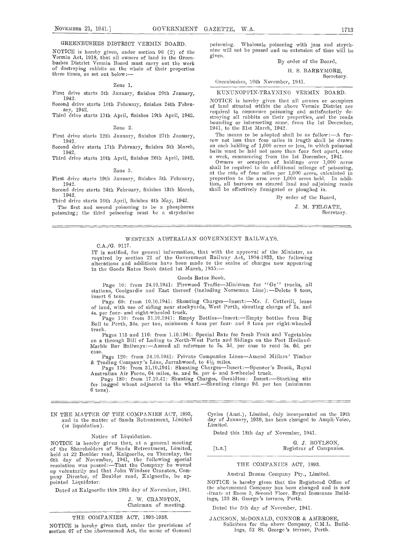# GREENBUSHES DISTRICT VERMIN BOARD.

NOTICE is hereby given, under section 96 (2) of the <sup>nine v</sup><br>Vermin Act, 1918, that all owners of land in the Green-<br>bushes District Vermin Board must carry out the work of destroying rabbits on the whole of their properties three times, as set out below

#### Zone 1.

First drive starts 5th January, finishes 20th January, 1942. Second drive starts 10th February, finishes 24th Febru-

# Zone 2.

First drive starts 12th January, finishes 27th January, 1942.

Second drive starts 17th February, finishes 5th March, 1942.

Third drive starts 10th April, finishes 26th April, 1942.

#### Zone 3.

First drive starts 19th January, finishes 5th February, 1942.

Second drive starts 24th February, finishes 13th March, 1942.

Third drive starts 10th April, finishes 4th May, 1942. The first and second poisoning to he a phosphorus poisoning; the third poisoning must be a strychnine poisoning. Wholesale poisoning with jam and strych- nine will not be passed and no extension of time will be

By order of the Board,

H. S. BARRYMORE,

Secretary.

## Greenbushes, 10th November, 1941.

KUNUNOPPIN-TRAYNING VERMIN BOARD.

Second drive starts 13th April, finishes 19th April, 1942.<br>
Third drive starts 13th April, finishes 19th April, 1942.<br>
Zone 2. 1941, to the 31st March, 1942.<br>
Third drive starts 13th April, finishes 19th April, 1942. NOTICE is hereby given that all owners or ocenpiers of laud situated witlnu the above Vermin District are required to commence poisoning and satisfactorily de-<br>stroying all rabbits on their properties, and the roads

> The means to be adopted shall be as follow :---A fur-<br>row not less than four miles in length shall be drawn on each holding of 1,000 acres or less, in which poisoned baits must be laid not more than four feet apart, once a week, commencing from the 1st December, 1941.

> Owners or occupiers of holdings over 1,000 acres shall be required to do additional mileage of poisoning, at the rate of four miles per 1,000 acres, calculated in proportion to the area over 1,000 acres held. In addition, all burrows on cleared laud and adjoining roads shall be effectively fumigated or ploughed in.

> > By order of the Board,

J. M. FELGATE, Secretary.

#### WESTERN AUSTRALIAN GOVERNMENT RA1LWAYS.

#### C.A./G. 9117.

IT is notified, for general information, that with the approval of the Minister, as required by section 22 of the Government Railway Act, 1904-1933, the following alterations and additions have been made to the scales of charges now appearing in the Goods Rates Book dated 1st March, 1935:-

#### Goods Rates Book.

Page 10: from 24.10.1941: Firewood Traffic-Minimum for ''Ge'' trucks, all stations, Coolgardie and East thereof (including Norseman Line):-Delete 8 tons, insert 6 tons.

Page 69: from 10.10.1941: Shunting Charges-Insert:-Mr. J. Cotterill, lease of land, with use of siding near stockyards, West Perth, shunting charge of 2s. and 4s. per four- and eight-wheeled truck.

Page 110: from 31.10.1941: Empty Bottles-Insert:--Empty bottles from Big Bell to Perth, 34s. per ton, minimum 4 tons per four- and 8 tons per eight-wheeled

truck.<br>Pages 115 and 116: from 1.10.1941: Special Rate for fresh Fruit and Vegetables<br>on a through Bill of Lading to North-West Ports and Sidings on the Port Hedland-<br>Marble Bar Railways:—Amend all reference to 5s. 3d. per Pages 115 and 116: from 1.10.1941: Special Rate for fresh Fruit and Vegetables<br>on a through Bill of Lading to North-West Ports and Sidings on the Port Hedland-<br>Marble Bar Railways:—Amend all reference to 5s. 3d. per case t

 $6 \text{ tons}$ ).

IN THE MATTER OF THE COMPANIES ACT, 1893, and in the matter of Sands Retreatment, Limited ay of  $\ddot{\text{a}}$  (in lignificial) (in liquidation).

## Notice of Liquidation.

NOTICE is hereby given that, at a general meeting held at 22 Boulder road, Kalgoorlie, on Thursday, the 6th day of November, 1941, the following special resolution was passed:-That the Company be wound up voluntarily and that John Windsor Cranston, Com-<br>pany Director, of Boulder road, Kalgoorlie, he appointed Liquidator.

Dated at Kalgoorlie this 19th day of November, 1941.

J. W. CRANSTON, Chairman of meeting.

THE COMPANIES ACT, 1893-1938.

NOTICE is hereby given that, under the provisions of section 67 of the abovenamed Act, the name of General

Cycles (Aust.), Linuted, duly incorporated on the 19th day of January, 1939, has been changed to Ampli-Voice,

Dated this 18th day of November, 1941.

|                        | G. J. BOYLSON,          |
|------------------------|-------------------------|
| $\lceil$ L.S. $\rceil$ | Registrar of Companies. |

#### THE COMPANIES ACT, 1893.

Austral Bronze Company Pty., Limited.

NOTICE is hereby given that the Registered Office of the abovenamed Company has been changed and is now ituate at Room 3, Second Floor. Royal Insurance Build-ings, 133 St. George's terrace, Perth.

Dated the 5th day of November, 1941.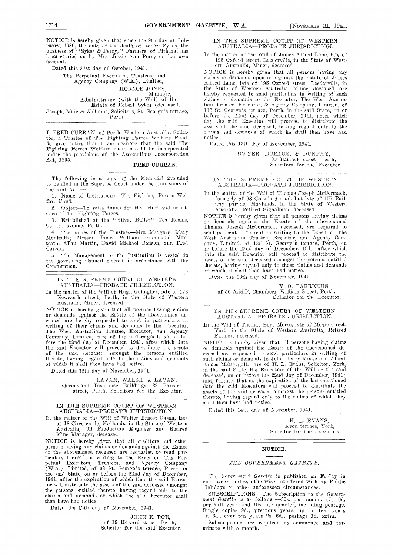NOTICE is hereby given that since the 9th day of Feb- ruary, 1939, the date of the death of Robert Sykes, the business of ''Sykes & Ferry,'' Farmers, of Pithara, has been carried on by Mrs. Jessie Ann Perry on her own account.

Dated this 31st day of October, 1941.

The Perpetual Executors, Trustees, and Agency Company (WA.), Limited,

HORACE JONES,

Manager, Administrator (with the Will) of the Estate of Robert Sykes (deceased). Joseph, Muir & Williams, Solicitors, St. George's terrace, Perth.

I, FRED CURRAN, of Perth, Western Australia, Solicicle claims<br>tor, a Trustee of The Fighting Forces Welfare Fund, notice<br>do give notice that I am desirous that the said The Dat<br>Fighting Forces Welfare Fund should be incorp under the provisions of the Associations Incorporation Act, 1S95.

# FRED CURRAN.

The following is a copy of the Memorial intended  $I_N$ <br>to be filed in the Supreme Court under the provisions of the said Act:-

1. Name of Institution :- The Fighting Forces Welfare Fund.

2. Object-To raise funds for the relief and assist-<br>ance of the Fighting Forces.<br>NOTICE is hereby given that all persons having claims

3. Established at the "Silver Bullet" Tea Rooms, Council avenue, Perth.

4. The names of the Trustees-Mrs. Margaret Mary Monteath; Messrs. James William Drummond Monteath, Allan Martin, David Michael Benson, and Fred pany, Curran.

The Management of the Institution is vested in the governing Council elected in accordance with the Constitution.

# IN THE SUPREME COURT OF WESTERN

AUSTRALIA—PROBATE JURISDICTION.<br>In the matter of the Will of Hugh Gallagher, late of 173 In the matter of the Will of Hugh Gallagher, late of 173 Newcastle street, Perth, in the State of Western Australia, Miner, deceased.

NOTICE is hereby given that all persons having claims<br>or demands against the Estate of the abovenamed de-<br>ceased are hereby requested to send in particulars in<br>writing of their claims and demands to the Executor, In the<br>Th the said Executor will proceed to distribute the assets or dependent of the said deceased amongst the persons entitled cease thereto, having regard only to the claims and demands such of which it shall then have had notice.

Dated this 12th day of November, 1941.

LAVAN, WALSH, & LAVAN, Queensland Insurance Buildings, 29 Barrack and alleading assetted, Perth, Solicitors for the Executor.

#### IN THE SUPREME COURT OF WESTERN AUSTRALIA-PROBATE JURISDICTION.

In the matter of the Will of Walter Ernest Gason, late of 18 Circe circle, Nedlands, in the State of Western Australia, Oil Production Engineer and Retired Mine Manager, deceased.

Mine Manager, deceased.<br>NOTICE is hereby given that all creditors and other<br>persons having any claims or demands against the Estate<br>of the abovenamed deceased are requested to send par-<br>ticulars thereof in writing to the E ticulars thereof in writing to the Executor, The Per-<br>petual Executors, Trustees, and Agency Company (WA.), Limited, of 93 St. George's terrace, Perth, in the said State, on or before the 22nd day of December,<br>1941, after the expiration of which time the said Executor will distribute the assets of the said deceased amongst<br>the persons entitled thereto, having regard only to the<br>claims and demands of which the said Executor shall then have had notice.

Dated the 12th day of November, 1941.

JOHN E. ROE, of 19 Howard street, Perth, Solicitor for the said Executor.

### IN THE SUPREME COURT OF WESTERN AUSTRALIA-PROBATE JURISDICTION.

In the matter of the Will of James Alfred Lane, late of 195 Oxford street, Leetlerville, in the State of Western Australia, Miner, deceased.

NOTICE is hereby given that all persons having any claims or demands upon or against the Estate of James<br>Alfred Lane, late of 195 Oxford street, Leederville, in the State of Western Australia, Miner, deceased, are hereby requested to send particulars in writing of such claims or demands to the Executor, The West Australian Trustee, Executor. & Agency Company, Limited, of 135 St. George's terrace, Perth, in the said State, on or day the said Executor will proceed to distribute the assets of the said deceased, having regard only to the claims and demands of which he shall then have had notice.

Dated this 13th day of November, 1941.

DWYER, DURACK, & DUNPHY. 33 Barrack street, Perth, Solicitors for the Executor.

IN THE SUPREME COURT OF WESTERN AUSTRALIA-PROBATE JURISDICTION.

In the matter of the Will of Thomas Joseph McCormack,<br>formerly of 98 Crawford road, but late of 157 Rail-<br>way parade, Maylands, in the State of Western<br>Australia, Retired Signalman, deceased.

NOTICE is hereby given that all persons having claims<br>or demands against the Estate of the abovenamed Thomas Joseph McCormack, deceased, are required to send particulars thereof in writing to the Executor, The West Australian Trustee, Executor, and Agency Company, Limited, of 135 St. George's terrace, Perth, on or before the 22nd day of December, 1911, after which date the said Executor will proceed to distribute the assets of the said deceased amongst the persons entitled thereto, having regard only to those claims and demands of which it shall then have had notice.

Dated the 13th day of November, 1941.

V. 0. FABRICIUS, of 56 A.M.P. Chambers, William Street, Perth, Solicitor for the Executor.

### IN TIlE SUPREME COURT OF WESTERN AUSTRALIA-PROBATE JURISDICTION.

In the Will of Thomas Boys Morse, late of Mears street,<br>York, in the State of Western Australia, Retired Farmer, deceased.

NOTICE is hereby given that all persons having claims or demands against the Estate of the abovenanced desuch claims or demands to John Henry Morse and Albert<br>James McDougall, care of H. L. Evans, Solicitor, York,<br>in the said State, the Executors of the Will of the said deceased, on or before the 22nd day of December, 1941;<br>and, further, that at the expiration of the last-mentioned<br>date the said Executors will proceed to distribute the and the said deceased all proceed to distribute the assets of the said deceased amongst the persons entitled thereto, having regard only to the claims of which they shall then have had notice.

Dated this 14th day of November, 1941.

H. L. EVANS, Avon terrace, York, Solicitor for the Executors.

#### NOTICE.

## THE GOVERNMENT GAZETTE.

The Government Gazette is published on Friday in each week, unless otherwise interfered with by Public

IIolidays or other unforeseen circumstances.<br>
SUBSCRIPTIONS.—The Subscription to the Government Gazette is as follows:—30s. per annum, 17s. 6d. nent Gazette is as follows: 50s. per annum, 17s. cd. per half year, and 10s per quarter, including postage.<br>Single copies 9d.; previous years, up to ten years is. Gd., over ten years 2s. Gd.; postage Id. extra.

Subscriptions are required to commence and terminate with a month.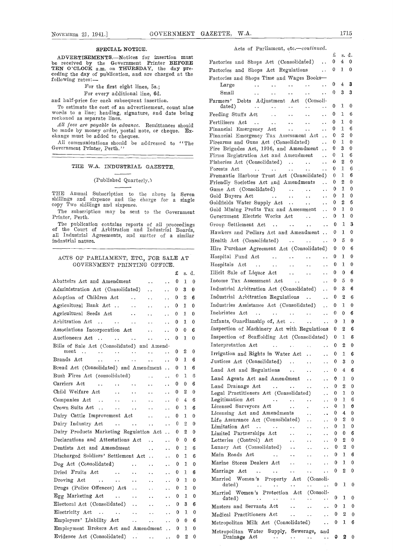#### SPECIAL NOTICE.

# THE W.A. INDUSTRIAL GAZETTE.

# (Published Quarterly.)

# ACTS OF PARLIAMENT, ETC., FOR SALE AT GOVERNMENT PRINTING OFFICE.

|                                                                                                               |                 |                        |                       |              | 134              |                |                                                                                                                                                                                                        |                          |                     |
|---------------------------------------------------------------------------------------------------------------|-----------------|------------------------|-----------------------|--------------|------------------|----------------|--------------------------------------------------------------------------------------------------------------------------------------------------------------------------------------------------------|--------------------------|---------------------|
| Abattoirs Act and Amendment                                                                                   |                 | $\sim$ $\sim$          | $\ddotsc$             | $\bf{0}$     | $\mathbf{1}$     | $\overline{0}$ | Income Tax Assessment Act<br><b>Contract Contract Contract Contract</b>                                                                                                                                | $\therefore$ 0 5         |                     |
| Administration Act (Consolidated)                                                                             |                 | $\sim$ $\sim$          | $\ddotsc$             | 0            | 3                | $\theta$       | Industrial Arbitration Act (Consolidated)                                                                                                                                                              | 0 <sup>3</sup>           |                     |
| Adoption of Children Act.                                                                                     |                 | $\sim$ $\sim$          | $\ddot{\phantom{a}}$  | $^{\rm o}$   | 2                | - 6            | Industrial Arbitration Regulations<br>$\ddot{\phantom{a}}$                                                                                                                                             | 0 <sub>2</sub>           |                     |
| Agricultural Bank Act                                                                                         |                 | $\ddot{\phantom{a}}$   | $\ddot{\phantom{a}}$  | 0            | $\mathbf{1}$     | $\theta$       | Industries Assistance Act (Consolidated)<br>$\ddotsc$                                                                                                                                                  | 0 <sub>1</sub>           |                     |
| Agricultural Seeds Act                                                                                        |                 | $\ddotsc$              | $\ddot{\phantom{a}}$  | $\mathbf{0}$ | $\mathbf{1}$     | $\theta$       | Inebriates Act<br>$\ddotsc$                                                                                                                                                                            | $0 \quad 0$              |                     |
| Arbitration Act                                                                                               |                 | $\sim 10$              | $\ddot{\phantom{a}}$  | $\mathbf{0}$ | $\,1$            | $\Omega$       | Infants, Guardianship of, Act<br>$\mathbf{A}$                                                                                                                                                          | 0 <sub>1</sub>           |                     |
| Associations Incorporation Act                                                                                |                 |                        | $\dddot{\phantom{0}}$ | 0            | $\bf{0}$         | 6              | Inspection of Machinery Act with Regulations                                                                                                                                                           | 0 <sub>2</sub>           |                     |
|                                                                                                               |                 |                        | $\ddotsc$             | $\mathbf{0}$ | $\overline{1}$ 0 |                | Inspection of Scaffolding Act (Consolidated)                                                                                                                                                           | 0 <sub>1</sub>           |                     |
| Bills of Sale Act (Consolidated) and Amend-                                                                   |                 |                        |                       |              |                  |                | Interpretation Act<br>and the state of the state of the state of the state of the state of the state of the state of the state of the                                                                  | 0 <sub>2</sub>           |                     |
| $\ddotsc$                                                                                                     | $\ddotsc$       | $\ddot{\phantom{0}}$   | $\sim$                | $\mathbf{0}$ | 2                | $\bf{0}$       | Irrigation and Rights in Water Act<br>$\ddotsc$                                                                                                                                                        | 0 <sub>1</sub>           |                     |
| Brands Act.<br>$\sim$ $\sim$ $\sim$ $\sim$                                                                    | $\sim$ .        | $\sim$                 | $\ddotsc$             |              | -1               | - 6            | Justices Act (Consolidated)<br><b>Section Card</b>                                                                                                                                                     | $\mathbf{0}$             | 3                   |
| Bread Act (Consolidated) and Amendment . 0                                                                    |                 |                        |                       |              | $1\quad6$        |                | Land Act and Regulations<br>$\ddotsc$<br>$\ddotsc$                                                                                                                                                     | $0 \quad 4$              |                     |
| Bush Fires Act (consolidated)                                                                                 |                 | $\ddotsc$              |                       | $\theta$     | 1                | - 6            | Land Agents Act and Amendment<br>$\ddotsc$                                                                                                                                                             | 0 <sub>1</sub>           |                     |
| Carriers Act                                                                                                  |                 | $\sim$                 | $\ddot{\phantom{a}}$  | 0            | $\Omega$         | 6              | Land Drainage Act<br>$\mathbf{1}$ , and $\mathbf{1}$ , and $\mathbf{1}$<br>$\ddotsc$                                                                                                                   | $\Omega$                 | 2                   |
| Child Welfare Act<br>$\mathbf{u}(\mathbf{x})$ , and $\mathbf{u}(\mathbf{x})$                                  |                 | $\ddot{\phantom{a}}$   |                       | $\bf{0}$     | 2                | $\mathbf{0}$   | Legal Practitioners Act (Consolidated)<br>$\ddotsc$                                                                                                                                                    | $\mathbf{0}$             | 7                   |
| Companies Act                                                                                                 |                 | $\ddotsc$              | $\ddotsc$             | $\theta$     | 4                | - 6            | Legitimation Act<br>$\mathcal{L}^{\mathcal{A}}$ , where $\mathcal{L}^{\mathcal{A}}$ , and $\mathcal{L}^{\mathcal{A}}$ , and $\mathcal{L}^{\mathcal{A}}$ , and $\mathcal{L}^{\mathcal{A}}$<br>$\ddotsc$ | $\bf{0}$                 | 1                   |
| Crown Suits Act.<br>$\mathbf{r} = \mathbf{r} \cdot \mathbf{r}$ and $\mathbf{r} = \mathbf{r} \cdot \mathbf{r}$ |                 | $\ddotsc$              | $\ddotsc$             | $\bf{0}$     | $1\quad 6$       |                | Licensed Surveyors Act<br>$\ddotsc$<br>$\Delta \sim 10^4$                                                                                                                                              | $\mathbf 0$              | 1                   |
| Dairy Cattle Improvement Act                                                                                  |                 |                        |                       | $\bf{0}$     | 1                | $\Omega$       | Licensing Act and Amendments<br>$\ddotsc$<br>$\ddot{\phantom{a}}$                                                                                                                                      | $\bf{0}$                 | 4                   |
|                                                                                                               |                 |                        | $\cdots$ 0            |              | $\mathbf{2}$     | - 0            | Life Assurance Act (Consolidated)<br>$\ddotsc$<br>Limitation Act                                                                                                                                       | $\mathbf{0}$<br>$\theta$ | $\overline{2}$<br>1 |
| Dairy Products Marketing Regulation Act 0 2 0                                                                 |                 |                        |                       |              |                  |                | $\ddotsc$<br>$\ddotsc$<br>Limited Partnerships Act<br>$\mathbf{1}$ , $\mathbf{1}$ , $\mathbf{1}$<br>$\sim$ $\sim$<br>$\ddotsc$                                                                         | $\Omega$                 | 0                   |
| Declarations and Attestations Act                                                                             |                 | $\sim$ .               | $\ddotsc$             | $\bf{0}$     | $\Omega$         | 6              | Lotteries (Control) Act<br>$\mathbf{a}$ , $\mathbf{a}$ , $\mathbf{a}$ , $\mathbf{a}$<br>$\sim$ $\sim$<br>$\ddotsc$                                                                                     | $\mathbf{0}$             | 2                   |
| Dentists Act and Amendment                                                                                    | <b>Contract</b> |                        | $\ddotsc$             | $\bf{0}$     | $1\quad 6$       |                | Lunacy Act (Consolidated)<br>$\ddotsc$<br>$\sim$ $\sim$<br>$\ddotsc$                                                                                                                                   | $\mathbf{0}$             |                     |
| Discharged Soldiers' Settlement Act                                                                           |                 |                        | $\ddot{\phantom{a}}$  | $\theta$     | Т.               | 6              | Main Roads Act<br><b><i>Committee States</i></b><br>$\ddotsc$<br>$\sim$ $\sim$<br>$\ddotsc$                                                                                                            | $\mathbf{0}$             | $\mathbf{1}$        |
| $\log$ Act (Consolidated)                                                                                     |                 | $\ddotsc$              | $\ddot{\phantom{a}}$  | $\bf{0}$     | 1                | $\theta$       | Marine Stores Dealers Act<br>$\ddotsc$<br>$\ddotsc$<br>$\ddotsc$                                                                                                                                       | $\mathbf{0}$             | -1                  |
| Dried Fruits Act                                                                                              |                 | $\ddot{\phantom{a}}$   | $\ddotsc$             | $\mathbf{0}$ | $1\quad 6$       |                | Marriage Act<br>$\ddotsc$<br>$\ddotsc$<br>$\mathbf{u} \cdot \mathbf{u} = \mathbf{u} \cdot \mathbf{u}$                                                                                                  | $\mathbf{0}$             | 2                   |
|                                                                                                               |                 | $\ddotsc$              | $\ddotsc$             | $\bf{0}$     | $\mathbf{1}$     | $\Omega$       | Married Women's Property Act (Consoli-                                                                                                                                                                 |                          |                     |
| Drugs (Police Offences) Act                                                                                   |                 | $\ddot{\phantom{a}}$ . | $\mathbf{v}$ .        | $\bf{0}$     |                  | $1\quad 0$     | dated)<br>$\ddotsc$<br><b>Alan Adam</b><br>$\mathbf{L}(\mathbf{R}^{(i)})$ .                                                                                                                            | $\mathbf{0}$             |                     |
| $Egg$ Marketing Act                                                                                           |                 | $\ddotsc$              |                       | $\cdots$ 0   | $1\quad 0$       |                | Married Women's Protection Act (Consoli-<br>dated)<br><b>Contractor</b><br>$\ddotsc$<br>$\mathbf{v}$ , $\mathbf{v}$ , $\mathbf{v}$<br>$\ddot{\phantom{a}}$ .                                           | $0^-$                    | 1                   |
| Electoral Act (Consolidated).                                                                                 |                 | $\ddotsc$              |                       | 0            | $3 -$            | 6              | Masters and Servants Act<br>$\ddot{\phantom{a}}$                                                                                                                                                       | 0 <sub>1</sub>           |                     |
| Electricity Act                                                                                               |                 | $\ddotsc$              | $\mathbf{1}$          | $\bf{0}$     |                  | $1 \quad 0$    | Medical Practitioners Act<br>and the state of<br>$\ddot{\phantom{a}}$                                                                                                                                  | $\mathbf{0}$             |                     |
| Employers' Liability Act                                                                                      |                 | $\ddotsc$              |                       | $\cdots$ 0   | $\Omega$         | - 6            | Metropolitan Milk Act (Consolidated)<br>$\ddotsc$                                                                                                                                                      | $\mathbf{0}$             | 1                   |
| Employment Brokers Act and Amendment  0 1 0                                                                   |                 |                        |                       |              |                  |                | Metropolitan Water Supply, Sewerage,<br>and                                                                                                                                                            |                          |                     |
| Evidence Act (Consolidated)  0 2 0                                                                            |                 |                        |                       |              |                  |                | Drainage Act<br><b>Contract Contract</b>                                                                                                                                                               | $\ldots$ 0               | ۶                   |
|                                                                                                               |                 |                        |                       |              |                  |                |                                                                                                                                                                                                        |                          |                     |

# Acts of Parliament, etc.-continued.

| ADVERTISEMENTS.-Notices for insertion must                                                                                                                                                   |                                                                                                                                                           | £<br>$\mathbf{0}$  | s. d.<br>$4\quad 0$      |              |
|----------------------------------------------------------------------------------------------------------------------------------------------------------------------------------------------|-----------------------------------------------------------------------------------------------------------------------------------------------------------|--------------------|--------------------------|--------------|
| be received by the Government Printer BEFORE<br>TEN O'CLOCK a.m. on THURSDAY, the day pre-                                                                                                   | Factories and Shops Act (Consolidated)                                                                                                                    |                    |                          |              |
| ceding the day of publication, and are charged at the                                                                                                                                        | Factories and Shops Act Regulations  0 1 0                                                                                                                |                    |                          |              |
| following rates:—                                                                                                                                                                            | Factories and Shops Time and Wages Books-                                                                                                                 |                    |                          |              |
| For the first eight lines, 5s.;                                                                                                                                                              | $\mathbf{u}(\mathbf{x})$ . In the contribution of the contribution of<br>$\sim 10^{-11}$<br>Large                                                         |                    | $0 \t4 \t3$              |              |
| For every additional line, 6d.                                                                                                                                                               | Small<br><b>Sales Contract Contract</b><br>$\mathbf{L}$ . The state $\mathbf{L}$<br>$\sim 10^{-10}$ and $\sim 10^{-10}$                                   | $\therefore$ 0 3 3 |                          |              |
| and half-price for each subsequent insertion.                                                                                                                                                | Farmers' Debts Adjustment Act (Consoli-                                                                                                                   |                    |                          |              |
| To estimate the cost of an advertisement, count nine                                                                                                                                         | dated)<br>and a series of the series of the series of                                                                                                     | $\bf{0}$           | $1\quad0$                |              |
| words to a line; heading, signature, and date being<br>reckoned as separate lines.                                                                                                           | $\sim 10^{-1}$                                                                                                                                            | $\bf{0}$           | $1\quad 6$               |              |
| All fees are payable in advance. Remittances should                                                                                                                                          | Fertilisers Act                                                                                                                                           | $\mathbf{0}$       | $1\quad 0$               |              |
| be made by money order, postal note, or cheque. Ex-                                                                                                                                          | Financial Emergency Act  0                                                                                                                                |                    | $1\quad 6$               |              |
| change must be added to cheques.                                                                                                                                                             | Financial Emergency Tax Assessment Act 0                                                                                                                  |                    | $2\quad 0$               |              |
| All communications should be addressed to "The<br>Government Printer, Perth."                                                                                                                | Firearms and Guns Act (Consolidated)  0<br>Fire Brigades Act, 1916, and Amendment  0                                                                      |                    | $1\quad 0$<br>$3\quad 0$ |              |
|                                                                                                                                                                                              | Firms Registration Act and Amendment  0 1 6                                                                                                               |                    |                          |              |
|                                                                                                                                                                                              | Fisheries Act (Consolidated)   0 2 0                                                                                                                      |                    |                          |              |
| THE W.A. INDUSTRIAL GAZETTE                                                                                                                                                                  | $\ldots$ $\ldots$ $\ldots$ $\ldots$ $\ldots$ 0<br>Forests Act                                                                                             |                    | 1 6                      |              |
|                                                                                                                                                                                              | Fremantle Harbour Trust Act (Consolidated) 0 1 6                                                                                                          |                    |                          |              |
| (Published Quarterly.)                                                                                                                                                                       | Friendly Societies Act and Amendments  0                                                                                                                  |                    | $2\quad 0$               |              |
|                                                                                                                                                                                              |                                                                                                                                                           |                    | $1\quad 0$               |              |
| THE Annual Subscription to the above is Seven                                                                                                                                                |                                                                                                                                                           |                    |                          |              |
| shillings and sixpence and the charge for a single<br>copy Two shillings and sixpence.                                                                                                       | Goldfields Water Supply Act    0                                                                                                                          |                    | $2^{\circ}$              | -6           |
| The subscription may be sent to the Government                                                                                                                                               | Gold Mining Profits Tax and Assessment  0                                                                                                                 |                    | $1\quad 0$               |              |
| Printer, Perth.                                                                                                                                                                              | Government Electric Works Act                                                                                                                             | $\cdots$ 0         | $\mathbf{1}$             | $\bf{0}$     |
| The publication contains reports of all proceedings                                                                                                                                          |                                                                                                                                                           |                    | 1 3                      |              |
| of the Court of Arbitration and Industrial Boards,                                                                                                                                           | Hawkers and Pedlars Act and Amendment  0 1 0                                                                                                              |                    |                          |              |
| all Industrial Agreements, and matter of a similar<br>industrial nature.                                                                                                                     | Health Act (Consolidated)  0 5 0                                                                                                                          |                    |                          |              |
|                                                                                                                                                                                              | Hire Purchase Agreement Act (Consolidated) 0 0 6                                                                                                          |                    |                          |              |
|                                                                                                                                                                                              | Hospital Fund Act (1997) 0 1 0                                                                                                                            |                    |                          |              |
| ACTS OF PARLIAMENT, ETC., FOR SALE AT                                                                                                                                                        |                                                                                                                                                           |                    |                          |              |
| GOVERNMENT PRINTING OFFICE.                                                                                                                                                                  | Hospitals Act     0 1 0                                                                                                                                   |                    |                          |              |
| $f$ s.d.                                                                                                                                                                                     | Illicit Sale of Liquor Act                                                                                                                                |                    | $0\quad 0\quad 6$        |              |
| Abattoirs Act and Amendment   0 1 0                                                                                                                                                          | Income Tax Assessment Act                                                                                                                                 | $\mathbf{0}$       | 5 0                      |              |
| Administration Act (Consolidated)<br>$\bf{0}$<br>3<br>$\boldsymbol{0}$                                                                                                                       | Industrial Arbitration Act (Consolidated)                                                                                                                 | $\mathbf{0}$       | 36                       |              |
| Adoption of Children Act<br>$\bf{0}$<br>$^{2}$<br>-6                                                                                                                                         | Industrial Arbitration Regulations   0                                                                                                                    |                    | $2\quad 6$               |              |
| Agricultural Bank Act     0<br>$1\quad 0$                                                                                                                                                    | Industries Assistance Act (Consolidated)  0 1 0                                                                                                           |                    |                          |              |
| $1\quad 0$                                                                                                                                                                                   | Inebriates Act      0                                                                                                                                     |                    | $\mathbf{0}$             | -6           |
| Arbitration Act<br>$\cdots$ $\cdots$ 0<br>$1\quad 0$                                                                                                                                         | Infants, Guardianship of, Act   0 1 0                                                                                                                     |                    |                          |              |
|                                                                                                                                                                                              |                                                                                                                                                           |                    |                          |              |
| Associations Incorporation Act<br>$\mathbf{0}$<br>$\mathbf{0}$<br>6                                                                                                                          | Inspection of Machinery Act with Regulations 0 2 6                                                                                                        |                    |                          |              |
| Auctioneers Act      0<br>$1\quad 0$                                                                                                                                                         | Inspection of Scaffolding Act (Consolidated) 0 1 6                                                                                                        |                    |                          |              |
| Bills of Sale Act (Consolidated) and Amend-                                                                                                                                                  |                                                                                                                                                           |                    |                          |              |
| 2<br>$\bf{0}$<br>ment<br>$\bf{0}$                                                                                                                                                            | Irrigation and Rights in Water Act<br>$\ddotsc$                                                                                                           | 0                  | $1\quad 6$               |              |
| Brands Act<br>$\bf{0}$<br>16<br>$\ddot{\phantom{a}}$<br>$\ddot{\phantom{0}}$<br>$\ddot{\phantom{a}}$ .<br>$\ddot{\phantom{a}}$<br>$\ddotsc$                                                  | Justices Act (Consolidated)<br>$\ddot{\phantom{a}}$ .<br>$\ddot{\phantom{0}}$                                                                             | $\bf{0}$           | $3\quad 0$               |              |
| Bread Act (Consolidated) and Amendment  0 1 6                                                                                                                                                | Land Act and Regulations<br>$\ddotsc$<br>$\ddotsc$                                                                                                        | 0                  | $\overline{4}$           | - 6          |
| Bush Fires Act (consolidated)<br>$\overline{0}$<br>1<br>-6<br>$\ddot{\phantom{a}}$<br>$\ddot{\phantom{a}}$                                                                                   | Land Agents Act and Amendment<br>$\ddotsc$                                                                                                                | 0                  | $1 \quad 0$              |              |
| Carriers Act<br><b>Contract Contract Contract</b><br>0<br>$\bf{0}$<br>-6<br>$\ddotsc$<br>$\ddotsc$                                                                                           | Land Drainage Act<br>$\mathbf{1} \mathbf{1}$ , and $\mathbf{1} \mathbf{1}$<br>$\ddotsc$                                                                   | 0                  | $\mathbf{2}$             | $\bf{0}$     |
| Child Welfare Act<br>2 0<br>$\mathcal{L}^{\mathcal{L}}$ , where $\mathcal{L}^{\mathcal{L}}$ and $\mathcal{L}^{\mathcal{L}}$ and $\mathcal{L}^{\mathcal{L}}$<br>$\mathbf{0}$<br>$\sim$ $\sim$ | $\ddot{\phantom{a}}$<br>Legal Practitioners Act (Consolidated)<br>$\ddot{\phantom{a}}$                                                                    | 0                  | $1 \quad 0$              |              |
| Companies Act<br>$\overline{4}$<br>$\mathbf{0}$<br>- 6<br>$\ddotsc$<br>$\ddot{\phantom{a}}$ .                                                                                                | Legitimation Act<br>$\mathcal{L}^{\text{max}}(\mathbf{r},\mathbf{r})$ , where $\mathcal{L}^{\text{max}}(\mathbf{r},\mathbf{r})$<br>$\ddotsc$<br>$\ddotsc$ | $\bf{0}$           | 1                        | 6            |
| $\mathbf{r}$ and $\mathbf{r}$ and $\mathbf{r}$ and $\mathbf{r}$<br>Crown Suits Act<br>$0 \quad 1 \quad 6$<br>$\ddotsc$<br>$\sim 10^{-11}$                                                    | Licensed Surveyors Act<br>$\sim 100$<br>$\mathbf{v}$<br>$\ddotsc$                                                                                         | $\mathbf 0$        | 1                        | 0            |
|                                                                                                                                                                                              | Licensing Act and Amendments<br>$\ddotsc$<br>$\ddot{\phantom{a}}$                                                                                         | 0                  | 4                        | $\mathbf{0}$ |
| Dairy Cattle Improvement Act<br>$\mathbf{0}$<br>$1\quad 0$<br>$\sim$ $\sim$<br>$\sim 10^{-11}$                                                                                               | Life Assurance Act (Consolidated)<br>$\sim$ $\sim$<br>$\ddot{\phantom{a}}$                                                                                | 0                  | 2                        | 0            |
| $\mathbf{0}$<br>Dairy Industry Act<br><b>Carl Corporation</b><br>$\mathbf{2}$<br>$\sim$ $\sim$<br>$\sim 10^{-11}$<br>- 0                                                                     | Limitation Act<br>$\sim 10^{-1}$<br>$\ddot{\phantom{a}}$<br>$\ddotsc$                                                                                     | 0                  | 1                        | $\bf{0}$     |
| Dairy Products Marketing Regulation Act 0 2 0                                                                                                                                                | Limited Partnerships Act<br>$\ddotsc$<br>$\ddotsc$<br>$\ddot{\phantom{a}}$                                                                                | 0                  | 0                        | 6            |
| Declarations and Attestations Act<br>$\cdots$ 0 0<br>-6                                                                                                                                      | Lotteries (Control) Act<br>$\sim 10^{-1}$<br>$\sim$ $\sim$<br>$\ddotsc$                                                                                   | 0                  | $\boldsymbol{2}$         | 0            |
| Dentists Act and Amendment<br>$\ldots$ 0 1 6<br>$\sim$ $\sim$                                                                                                                                | Lunacy Act (Consolidated)<br>$\sim$ $\sim$<br>$\ddotsc$                                                                                                   | 0                  | $\boldsymbol{2}$         | $\bf{0}$     |
| Discharged Soldiers' Settlement Act<br>$\cdots$ 0 1 6                                                                                                                                        | Main Roads Act<br>$\sim 10^{-10}$<br>$\bullet$ $\bullet$<br>$\ddot{\phantom{0}}$<br>$\ddots$                                                              | 0                  | $1\quad 6$               |              |
| $\log$ Act (Consolidated)<br>$\bf{0}$<br>1 0<br>$\sim$ $\sim$<br>$\sim 10^{-11}$<br>$\ddot{\phantom{1}}$ .                                                                                   | Marine Stores Dealers Act<br>$\ddotsc$<br>$\ddotsc$<br>$\ddot{\phantom{0}}$                                                                               | 0                  | 1 0                      |              |
| Dried Fruits Act<br>$\ldots$ 0<br>$1\quad 6$<br>$\sim$ $\sim$<br>$\ddot{\phantom{a}}$                                                                                                        | Marriage Act<br><b>Contract Contract Contract</b><br>$\ddot{\phantom{a}}$<br>$\sim$ $\sim$<br>$\ddotsc$                                                   |                    | $0\quad 2\quad 0$        |              |
| $\mathcal{L}(\mathbf{X},\mathbf{X})$ . The contract of<br>$\bf{0}$<br>$1\quad 0$                                                                                                             | Married Women's Property Act (Consoli-                                                                                                                    |                    |                          |              |
| Droving Act<br>$\ddotsc$<br>$\sim$ .<br>$\sim 10^{-11}$                                                                                                                                      | dated)<br>$\ddot{\phantom{a}}$<br><b>Administration</b><br>$\bullet$ $\bullet$                                                                            | $\ldots$ 0 1 0     |                          |              |
| Drugs (Police Offences) Act<br>$\bf{0}$<br>$1\quad 0$<br>$\sim 10^{-11}$<br>$\sim$ $\sim$                                                                                                    | Married Women's Protection Act (Consoli-                                                                                                                  |                    |                          |              |
| Egg Marketing Act<br>$\mathbf{0}$<br>$\mathcal{L}(\mathbf{r},\mathbf{r})$ , and $\mathcal{L}(\mathbf{r},\mathbf{r})$<br>$1\quad 0$<br>$\sim 10^{-10}$<br>$\ddotsc$                           | dated)<br>$\ddot{\phantom{1}}$ .<br>$\ddot{\phantom{1}}$ .<br>$\sim$ $\sim$<br>$\ddot{\phantom{0}}$<br>$\ddot{\phantom{0}}$                               | $\bf{0}$           | $1\quad 0$               |              |
| Electoral Act (Consolidated)<br>$\cdots$ 0<br>- 3<br>- 6<br>$\ddotsc$                                                                                                                        | Masters and Servants Act<br>$\ddot{\phantom{a}}$ .<br>$\ddotsc$<br>$\ddot{\phantom{0}}$                                                                   | 0                  | 1 0                      |              |
| $\cdots$ 0<br>1 0<br>$\sim$ $\sim$<br>$\ddotsc$                                                                                                                                              | Medical Practitioners Act<br>$\sim 10^{-1}$<br>$\sim$ $\sim$<br>$\ddotsc$                                                                                 | 0                  | 2                        | 0            |
| Employers' Liability Act<br>$\cdots$ 0<br>$\ddotsc$<br>0 <sub>6</sub>                                                                                                                        | Metropolitan Milk Act (Consolidated)<br>а.                                                                                                                |                    | $0\quad 1\quad 6$        |              |
| Employment Brokers Act and Amendment  0 1 0                                                                                                                                                  |                                                                                                                                                           |                    |                          |              |
| Evidence Act (Consolidated)<br>$\ldots$ 0 2 0                                                                                                                                                | Metropolitan Water Supply, Sewerage,<br>and<br>Drainage Act<br>$\sim 10^{-10}$ .<br>$\sim 10^{-1}$<br>A.                                                  |                    | $0$ 2 0                  |              |
|                                                                                                                                                                                              | $\epsilon \rightarrow 0$                                                                                                                                  |                    |                          |              |